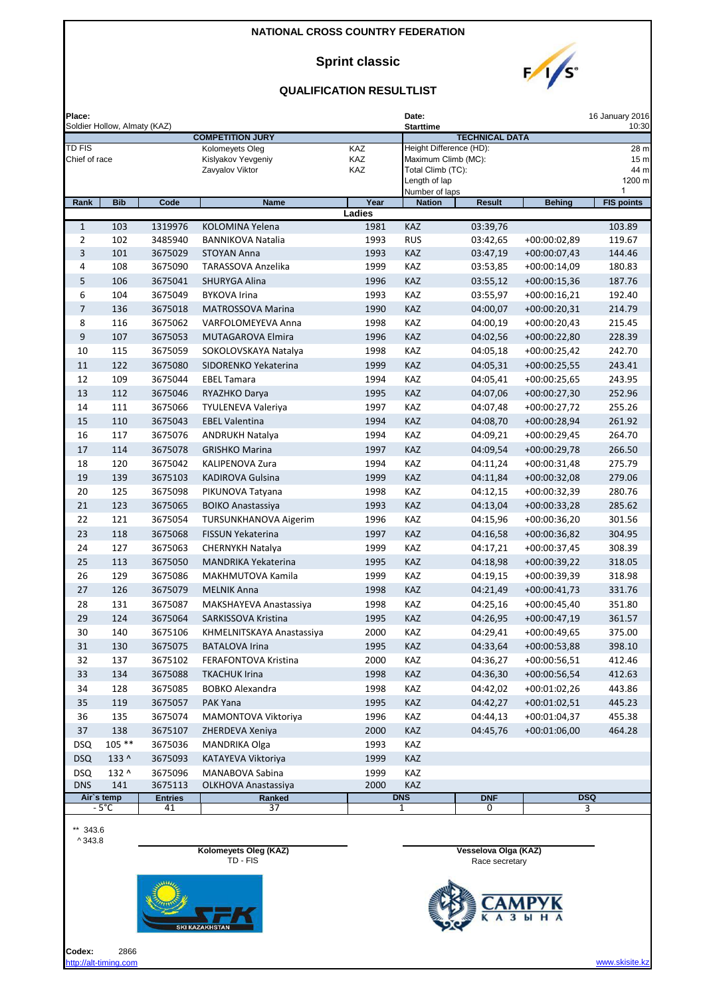### **Sprint classic**



| Place:                  | Soldier Hollow, Almaty (KAZ) |                      |                                       |            | Date:<br><b>Starttime</b>                      |                       |                |                         |  |
|-------------------------|------------------------------|----------------------|---------------------------------------|------------|------------------------------------------------|-----------------------|----------------|-------------------------|--|
|                         |                              |                      | <b>COMPETITION JURY</b>               |            |                                                | <b>TECHNICAL DATA</b> |                |                         |  |
| TD FIS<br>Chief of race |                              |                      | Kolomeyets Oleg<br>Kislyakov Yevgeniy | KAZ<br>KAZ | Height Difference (HD):<br>Maximum Climb (MC): |                       |                | 28 m<br>15 <sub>m</sub> |  |
|                         |                              |                      | Zavyalov Viktor                       | KAZ        | Total Climb (TC):                              |                       |                | 44 m                    |  |
|                         |                              |                      |                                       |            | Length of lap                                  |                       |                | 1200 m                  |  |
| Rank                    | <b>Bib</b>                   | Code                 | <b>Name</b>                           | Year       | Number of laps<br><b>Nation</b>                | <b>Result</b>         | <b>Behing</b>  | 1<br><b>FIS points</b>  |  |
|                         |                              |                      |                                       | Ladies     |                                                |                       |                |                         |  |
| $\mathbf{1}$            | 103                          | 1319976              | KOLOMINA Yelena                       | 1981       | KAZ                                            | 03:39,76              |                | 103.89                  |  |
| $\overline{2}$          | 102                          | 3485940              | <b>BANNIKOVA Natalia</b>              | 1993       | <b>RUS</b>                                     | 03:42,65              | +00:00:02,89   | 119.67                  |  |
| 3                       | 101                          | 3675029              | <b>STOYAN Anna</b>                    | 1993       | KAZ                                            | 03:47,19              | $+00:00:07,43$ | 144.46                  |  |
| 4                       | 108                          | 3675090              | TARASSOVA Anzelika                    | 1999       | KAZ                                            | 03:53,85              | $+00:00:14,09$ | 180.83                  |  |
| 5                       | 106                          | 3675041              | <b>SHURYGA Alina</b>                  | 1996       | KAZ                                            | 03:55,12              | $+00:00:15,36$ | 187.76                  |  |
| 6                       | 104                          | 3675049              | <b>BYKOVA Irina</b>                   | 1993       | KAZ                                            | 03:55,97              | $+00:00:16,21$ | 192.40                  |  |
| $\overline{7}$          | 136                          | 3675018              | <b>MATROSSOVA Marina</b>              | 1990       | KAZ                                            | 04:00,07              | $+00:00:20,31$ | 214.79                  |  |
| 8                       | 116                          | 3675062              | VARFOLOMEYEVA Anna                    | 1998       | KAZ                                            | 04:00,19              | $+00:00:20,43$ | 215.45                  |  |
| 9                       | 107                          | 3675053              | MUTAGAROVA Elmira                     | 1996       | KAZ                                            | 04:02,56              | $+00:00:22,80$ | 228.39                  |  |
| 10                      | 115                          | 3675059              | SOKOLOVSKAYA Natalya                  | 1998       | KAZ                                            | 04:05,18              | $+00:00:25,42$ | 242.70                  |  |
| 11                      | 122                          | 3675080              | SIDORENKO Yekaterina                  | 1999       | KAZ                                            | 04:05,31              | $+00:00:25,55$ | 243.41                  |  |
| 12                      | 109                          | 3675044              | <b>EBEL Tamara</b>                    | 1994       | KAZ                                            | 04:05,41              | $+00:00:25,65$ | 243.95                  |  |
| 13                      | 112                          | 3675046              | RYAZHKO Darya                         | 1995       | KAZ                                            | 04:07,06              | $+00:00:27,30$ | 252.96                  |  |
| 14                      | 111                          | 3675066              | <b>TYULENEVA Valeriya</b>             | 1997       | KAZ                                            | 04:07,48              | $+00:00:27,72$ | 255.26                  |  |
| 15                      | 110                          | 3675043              | <b>EBEL Valentina</b>                 | 1994       | KAZ                                            | 04:08,70              | $+00:00:28,94$ | 261.92                  |  |
| 16                      | 117                          | 3675076              | <b>ANDRUKH Natalya</b>                | 1994       | <b>KAZ</b>                                     | 04:09,21              | $+00:00:29,45$ | 264.70                  |  |
| 17                      | 114                          | 3675078              | <b>GRISHKO Marina</b>                 | 1997       | KAZ                                            | 04:09,54              | $+00:00:29,78$ | 266.50                  |  |
| 18                      | 120                          | 3675042              | KALIPENOVA Zura                       | 1994       | KAZ                                            | 04:11,24              | $+00:00:31,48$ | 275.79                  |  |
| 19                      | 139                          | 3675103              | <b>KADIROVA Gulsina</b>               | 1999       | KAZ                                            | 04:11,84              | $+00:00:32,08$ | 279.06                  |  |
| 20                      | 125                          | 3675098              | PIKUNOVA Tatyana                      | 1998       | KAZ                                            | 04:12,15              | $+00:00:32,39$ | 280.76                  |  |
| 21                      | 123                          | 3675065              | <b>BOIKO Anastassiya</b>              | 1993       | KAZ                                            | 04:13,04              | $+00:00:33,28$ | 285.62                  |  |
| 22                      | 121                          | 3675054              | <b>TURSUNKHANOVA Aigerim</b>          | 1996       | KAZ                                            | 04:15,96              | $+00:00:36,20$ | 301.56                  |  |
| 23                      | 118                          | 3675068              | FISSUN Yekaterina                     | 1997       | KAZ                                            | 04:16,58              | $+00:00:36,82$ | 304.95                  |  |
| 24                      | 127                          | 3675063              | <b>CHERNYKH Natalya</b>               | 1999       | KAZ                                            | 04:17,21              | $+00:00:37,45$ | 308.39                  |  |
| 25                      | 113                          | 3675050              | MANDRIKA Yekaterina                   | 1995       | KAZ                                            | 04:18,98              | $+00:00:39,22$ | 318.05                  |  |
| 26                      | 129                          | 3675086              | <b>MAKHMUTOVA Kamila</b>              | 1999       | KAZ                                            | 04:19,15              | +00:00:39,39   | 318.98                  |  |
| 27                      | 126                          | 3675079              | <b>MELNIK Anna</b>                    | 1998       | KAZ                                            | 04:21,49              | $+00:00:41,73$ | 331.76                  |  |
| 28                      | 131                          | 3675087              | MAKSHAYEVA Anastassiya                | 1998       | KAZ                                            | 04:25,16              | $+00:00:45,40$ | 351.80                  |  |
| 29                      | 124                          | 3675064              | SARKISSOVA Kristina                   | 1995       | KAZ                                            | 04:26,95              | $+00:00:47,19$ | 361.57                  |  |
| 30                      | 140                          | 3675106              | KHMELNITSKAYA Anastassiya             | 2000       | KAZ                                            | 04:29,41              | $+00:00:49,65$ | 375.00                  |  |
| 31                      | 130                          | 3675075              | <b>BATALOVA Irina</b>                 | 1995       | KAZ                                            | 04:33,64              | $+00:00:53,88$ | 398.10                  |  |
| 32                      | 137                          | 3675102              | FERAFONTOVA Kristina                  | 2000       | KAZ                                            | 04:36,27              | $+00:00:56,51$ | 412.46                  |  |
| 33                      | 134                          | 3675088              | <b>TKACHUK Irina</b>                  | 1998       | KAZ                                            | 04:36,30              | $+00:00:56,54$ | 412.63                  |  |
| 34                      | 128                          | 3675085              | <b>BOBKO Alexandra</b>                | 1998       | KAZ                                            | 04:42,02              | $+00:01:02,26$ | 443.86                  |  |
| 35                      | 119                          | 3675057              | PAK Yana                              | 1995       | KAZ                                            | 04:42,27              | $+00:01:02,51$ | 445.23                  |  |
| 36                      | 135                          | 3675074              | MAMONTOVA Viktoriya                   | 1996       | KAZ                                            | 04:44,13              | $+00:01:04,37$ | 455.38                  |  |
| 37                      | 138                          | 3675107              | ZHERDEVA Xeniya                       | 2000       | KAZ                                            | 04:45,76              | $+00:01:06,00$ | 464.28                  |  |
| <b>DSQ</b>              | 105 **                       | 3675036              | MANDRIKA Olga                         | 1993       | KAZ                                            |                       |                |                         |  |
| <b>DSQ</b>              | 133 ^                        | 3675093              | KATAYEVA Viktoriya                    | 1999       | KAZ                                            |                       |                |                         |  |
| <b>DSQ</b>              | 132 ^                        | 3675096              | MANABOVA Sabina                       | 1999       | KAZ                                            |                       |                |                         |  |
| <b>DNS</b>              | 141                          | 3675113              | OLKHOVA Anastassiya                   | 2000       | KAZ                                            |                       |                |                         |  |
|                         | Air's temp<br>$-5^{\circ}$ C | <b>Entries</b><br>41 | Ranked<br>37                          |            | <b>DNS</b><br>1                                | <b>DNF</b><br>0       |                | <b>DSQ</b><br>3         |  |
|                         |                              |                      |                                       |            |                                                |                       |                |                         |  |
| ** 343.6                |                              |                      |                                       |            |                                                |                       |                |                         |  |
| $^{\wedge}343.8$        |                              |                      | Kolomeyets Oleg (KAZ)                 |            |                                                | Vesselova Olga (KAZ)  |                |                         |  |
|                         |                              |                      | TD - FIS                              |            |                                                | Race secretary        |                |                         |  |



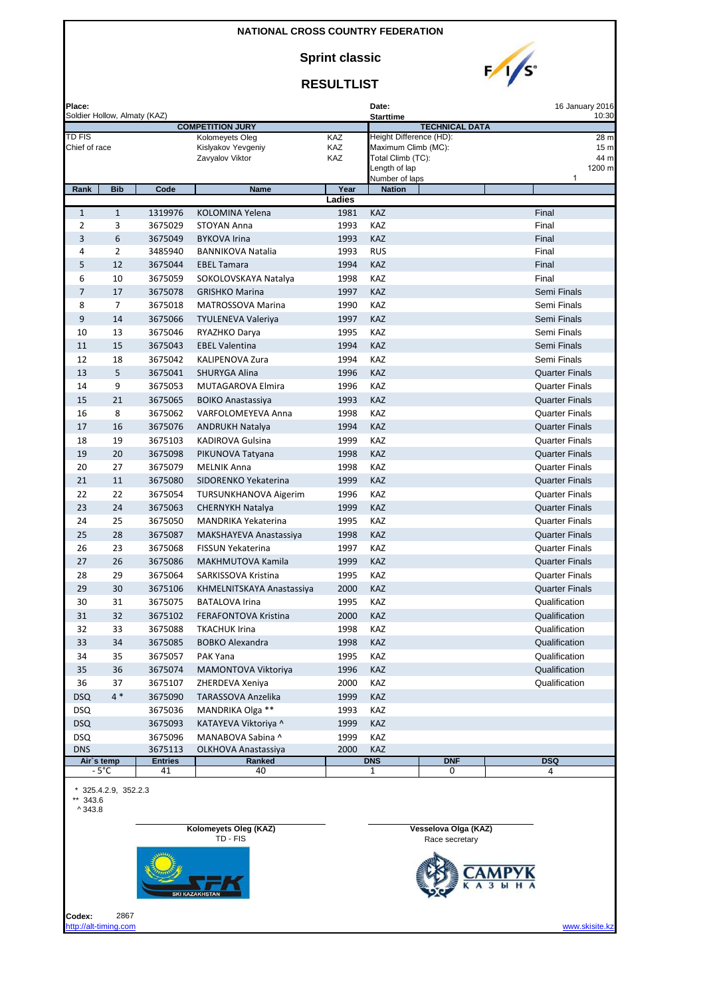**Sprint classic**



### **RESULTLIST**

| Place:<br>Soldier Hollow, Almaty (KAZ) |              |                      |                                                    |              | 16 January 2016<br>Date:<br><b>Starttime</b> |                       |                       |  |  |
|----------------------------------------|--------------|----------------------|----------------------------------------------------|--------------|----------------------------------------------|-----------------------|-----------------------|--|--|
|                                        |              |                      | <b>COMPETITION JURY</b>                            |              |                                              | <b>TECHNICAL DATA</b> | 10:30                 |  |  |
| TD FIS                                 |              |                      | Kolomeyets Oleg                                    | KAZ          | Height Difference (HD):                      |                       | 28 m                  |  |  |
| Chief of race                          |              |                      | Kislyakov Yevgeniy                                 | KAZ          | Maximum Climb (MC):                          |                       | 15 <sub>m</sub>       |  |  |
|                                        |              |                      | Zavyalov Viktor                                    | KAZ          | Total Climb (TC):<br>Length of lap           |                       | 44 m<br>1200 m        |  |  |
|                                        |              |                      |                                                    |              | Number of laps                               |                       | 1                     |  |  |
| Rank                                   | <b>Bib</b>   | Code                 | <b>Name</b>                                        | Year         | <b>Nation</b>                                |                       |                       |  |  |
|                                        |              |                      |                                                    | Ladies       |                                              |                       |                       |  |  |
| $\mathbf{1}$                           | $\mathbf{1}$ | 1319976              | KOLOMINA Yelena                                    | 1981         | KAZ                                          |                       | Final                 |  |  |
| $\overline{2}$                         | 3            | 3675029              | <b>STOYAN Anna</b>                                 | 1993         | KAZ                                          |                       | Final                 |  |  |
| 3                                      | 6            | 3675049              | <b>BYKOVA Irina</b>                                | 1993         | KAZ                                          |                       | Final                 |  |  |
| 4                                      | 2            | 3485940              | <b>BANNIKOVA Natalia</b>                           | 1993         | <b>RUS</b>                                   |                       | Final                 |  |  |
| 5                                      | 12           | 3675044              | <b>EBEL Tamara</b>                                 | 1994         | <b>KAZ</b>                                   |                       | Final                 |  |  |
| 6                                      | 10           | 3675059              | SOKOLOVSKAYA Natalya                               | 1998         | KAZ                                          |                       | Final                 |  |  |
| $\overline{7}$                         | 17           | 3675078              | <b>GRISHKO Marina</b>                              | 1997         | KAZ                                          |                       | Semi Finals           |  |  |
| 8                                      | 7            | 3675018              | <b>MATROSSOVA Marina</b>                           | 1990         | KAZ                                          |                       | Semi Finals           |  |  |
| 9                                      | 14           | 3675066              | <b>TYULENEVA Valeriya</b>                          | 1997         | KAZ                                          |                       | Semi Finals           |  |  |
| 10                                     | 13           | 3675046              | RYAZHKO Darya                                      | 1995         | KAZ                                          |                       | Semi Finals           |  |  |
| 11                                     | 15           | 3675043              | <b>EBEL Valentina</b>                              | 1994         | <b>KAZ</b>                                   |                       | Semi Finals           |  |  |
| 12                                     | 18           | 3675042              | <b>KALIPENOVA Zura</b>                             | 1994         | KAZ                                          |                       | Semi Finals           |  |  |
| 13                                     | 5            | 3675041              | <b>SHURYGA Alina</b>                               | 1996         | KAZ                                          |                       | <b>Quarter Finals</b> |  |  |
| 14                                     | 9            | 3675053              | <b>MUTAGAROVA Elmira</b>                           | 1996         | KAZ                                          |                       | <b>Quarter Finals</b> |  |  |
| 15                                     | 21           | 3675065              | <b>BOIKO Anastassiya</b>                           | 1993         | KAZ                                          |                       | <b>Quarter Finals</b> |  |  |
| 16                                     | 8            | 3675062              | VARFOLOMEYEVA Anna                                 | 1998         | KAZ                                          |                       | <b>Quarter Finals</b> |  |  |
| 17                                     | 16           | 3675076              | <b>ANDRUKH Natalya</b>                             | 1994         | KAZ                                          |                       | <b>Quarter Finals</b> |  |  |
| 18                                     | 19           | 3675103              | <b>KADIROVA Gulsina</b>                            | 1999         | KAZ                                          |                       | <b>Quarter Finals</b> |  |  |
| 19                                     | 20           | 3675098              | PIKUNOVA Tatyana                                   | 1998         | KAZ                                          |                       | <b>Quarter Finals</b> |  |  |
| 20                                     | 27           | 3675079              | <b>MELNIK Anna</b>                                 | 1998         | KAZ                                          |                       | <b>Quarter Finals</b> |  |  |
| 21                                     | 11           | 3675080              | SIDORENKO Yekaterina                               | 1999         | <b>KAZ</b>                                   |                       | <b>Quarter Finals</b> |  |  |
| 22                                     | 22           | 3675054              | TURSUNKHANOVA Aigerim                              | 1996         | KAZ                                          |                       | <b>Quarter Finals</b> |  |  |
| 23                                     | 24           | 3675063              | <b>CHERNYKH Natalya</b>                            | 1999         | <b>KAZ</b>                                   |                       | <b>Quarter Finals</b> |  |  |
| 24                                     | 25           | 3675050              | MANDRIKA Yekaterina                                | 1995         | KAZ                                          |                       | <b>Quarter Finals</b> |  |  |
| 25                                     | 28           | 3675087              |                                                    | 1998         | <b>KAZ</b>                                   |                       | <b>Quarter Finals</b> |  |  |
| 26                                     | 23           |                      | MAKSHAYEVA Anastassiya<br><b>FISSUN Yekaterina</b> |              |                                              |                       | <b>Quarter Finals</b> |  |  |
| 27                                     | 26           | 3675068<br>3675086   | MAKHMUTOVA Kamila                                  | 1997<br>1999 | KAZ<br>KAZ                                   |                       | <b>Quarter Finals</b> |  |  |
|                                        |              |                      |                                                    |              |                                              |                       |                       |  |  |
| 28                                     | 29           | 3675064              | SARKISSOVA Kristina                                | 1995         | KAZ                                          |                       | <b>Quarter Finals</b> |  |  |
| 29                                     | 30           | 3675106              | KHMELNITSKAYA Anastassiya                          | 2000         | KAZ                                          |                       | <b>Quarter Finals</b> |  |  |
| 30                                     | 31           | 3675075              | <b>BATALOVA Irina</b>                              | 1995         | KAZ                                          |                       | Qualification         |  |  |
| 31                                     | 32           | 3675102              | <b>FERAFONTOVA Kristina</b>                        | 2000         | <b>KAZ</b>                                   |                       | Qualification         |  |  |
| 32                                     | 33           | 3675088              | <b>TKACHUK Irina</b>                               | 1998         | KAZ                                          |                       | Qualification         |  |  |
| 33                                     | 34           | 3675085              | <b>BOBKO Alexandra</b>                             | 1998         | KAZ                                          |                       | Qualification         |  |  |
| 34                                     | 35           | 3675057              | PAK Yana                                           | 1995         | KAZ                                          |                       | Qualification         |  |  |
| 35                                     | 36           | 3675074              | MAMONTOVA Viktoriya                                | 1996         | KAZ                                          |                       | Qualification         |  |  |
| 36                                     | 37           | 3675107              | ZHERDEVA Xeniya                                    | 2000         | KAZ                                          |                       | Qualification         |  |  |
| <b>DSQ</b>                             | $4 *$        | 3675090              | TARASSOVA Anzelika                                 | 1999         | KAZ                                          |                       |                       |  |  |
| <b>DSQ</b>                             |              | 3675036              | MANDRIKA Olga **                                   | 1993         | KAZ                                          |                       |                       |  |  |
| <b>DSQ</b>                             |              | 3675093              | KATAYEVA Viktoriya ^                               | 1999         | KAZ                                          |                       |                       |  |  |
| <b>DSQ</b>                             |              | 3675096              | MANABOVA Sabina ^                                  | 1999         | KAZ                                          |                       |                       |  |  |
| <b>DNS</b>                             |              | 3675113              | <b>OLKHOVA Anastassiya</b>                         | 2000         | <b>KAZ</b>                                   |                       |                       |  |  |
| Air's temp<br>$-5^{\circ}$ C           |              | <b>Entries</b><br>41 | Ranked<br>40                                       |              | <b>DNS</b><br>1                              | <b>DNF</b><br>0       | <b>DSQ</b><br>4       |  |  |
|                                        |              |                      |                                                    |              |                                              |                       |                       |  |  |

\* 325.4.2.9, 352.2.3

\*\* 343.6

 $^{\circ}$  343.8

**Kolomeyets Oleg (KAZ) Vesselova Olga (KAZ)**



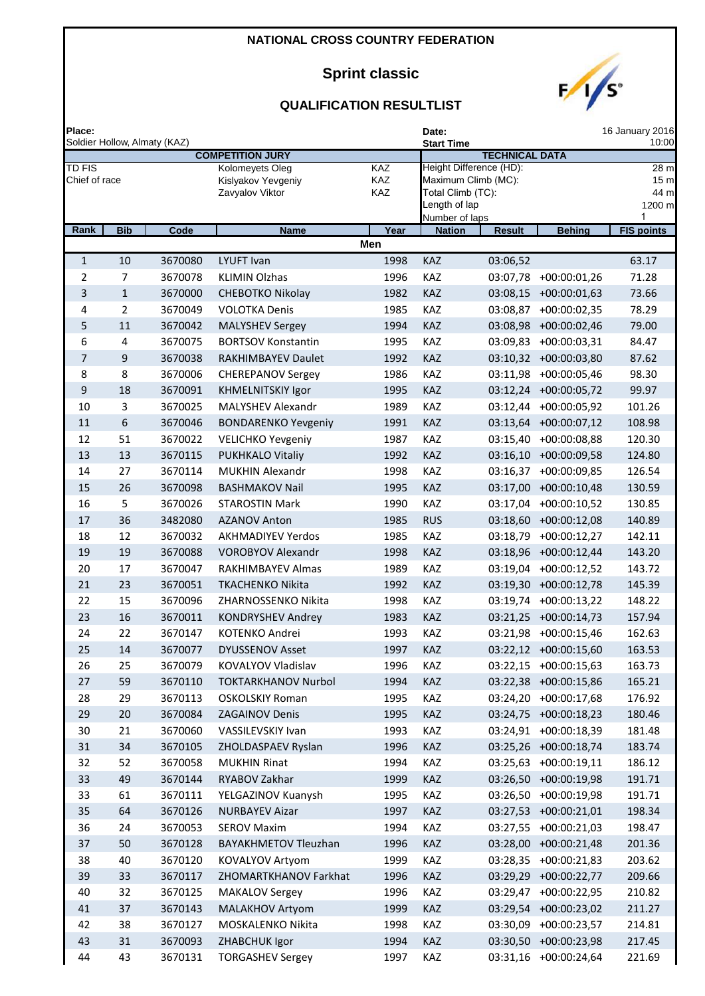# **Sprint classic**



| Place:                         |                              |                    |                                                          | Date:             | 16 January 2016<br>10:00        |                                                                     |                                         |                                                |
|--------------------------------|------------------------------|--------------------|----------------------------------------------------------|-------------------|---------------------------------|---------------------------------------------------------------------|-----------------------------------------|------------------------------------------------|
|                                | Soldier Hollow, Almaty (KAZ) |                    | <b>COMPETITION JURY</b>                                  |                   | <b>Start Time</b>               | <b>TECHNICAL DATA</b>                                               |                                         |                                                |
| <b>TD FIS</b><br>Chief of race |                              |                    | Kolomeyets Oleg<br>Kislyakov Yevgeniy<br>Zavyalov Viktor | KAZ<br>KAZ<br>KAZ | Length of lap<br>Number of laps | Height Difference (HD):<br>Maximum Climb (MC):<br>Total Climb (TC): |                                         | 28 m<br>15 <sub>π</sub><br>44 m<br>1200 m<br>1 |
| Rank                           | <b>Bib</b>                   | Code               | <b>Name</b>                                              | Year              | <b>Nation</b>                   | <b>Result</b>                                                       | <b>Behing</b>                           | <b>FIS points</b>                              |
|                                |                              |                    |                                                          | Men               |                                 |                                                                     |                                         |                                                |
| $\mathbf{1}$                   | 10                           | 3670080            | <b>LYUFT Ivan</b>                                        | 1998              | KAZ                             | 03:06,52                                                            |                                         | 63.17                                          |
| 2                              | 7                            | 3670078            | <b>KLIMIN Olzhas</b>                                     | 1996              | KAZ                             | 03:07,78                                                            | $+00:00:01,26$                          | 71.28                                          |
| 3                              | $\mathbf{1}$                 | 3670000            | CHEBOTKO Nikolay                                         | 1982              | KAZ                             | 03:08,15                                                            | $+00:00:01,63$                          | 73.66                                          |
| 4                              | 2                            | 3670049            | <b>VOLOTKA Denis</b>                                     | 1985              | KAZ                             | 03:08,87                                                            | $+00:00:02,35$                          | 78.29                                          |
| 5                              | 11                           | 3670042            | <b>MALYSHEV Sergey</b>                                   | 1994              | KAZ                             | 03:08,98                                                            | +00:00:02,46                            | 79.00                                          |
| 6                              | 4                            | 3670075            | <b>BORTSOV Konstantin</b>                                | 1995              | KAZ                             | 03:09,83                                                            | $+00:00:03,31$                          | 84.47                                          |
| $\overline{7}$                 | 9                            | 3670038            | RAKHIMBAYEV Daulet                                       | 1992              | KAZ                             | 03:10,32                                                            | $+00:00:03,80$                          | 87.62                                          |
| 8                              | 8                            | 3670006            | <b>CHEREPANOV Sergey</b>                                 | 1986              | KAZ                             | 03:11,98                                                            | $+00:00:05,46$                          | 98.30                                          |
| 9                              | 18                           | 3670091            | <b>KHMELNITSKIY Igor</b>                                 | 1995              | KAZ                             | 03:12,24                                                            | $+00:00:05,72$                          | 99.97                                          |
| 10                             | 3                            | 3670025            | MALYSHEV Alexandr                                        | 1989              | KAZ<br>KAZ                      | 03:12,44                                                            | +00:00:05,92                            | 101.26                                         |
| 11<br>12                       | 6<br>51                      | 3670046<br>3670022 | <b>BONDARENKO Yevgeniy</b><br><b>VELICHKO Yevgeniy</b>   | 1991<br>1987      | KAZ                             | 03:13,64                                                            | $+00:00:07,12$<br>03:15,40 +00:00:08,88 | 108.98<br>120.30                               |
| 13                             | 13                           | 3670115            | PUKHKALO Vitaliy                                         | 1992              | KAZ                             | 03:16,10                                                            | $+00:00:09,58$                          | 124.80                                         |
| 14                             | 27                           | 3670114            | <b>MUKHIN Alexandr</b>                                   | 1998              | KAZ                             | 03:16,37                                                            | +00:00:09,85                            | 126.54                                         |
| 15                             | 26                           | 3670098            | <b>BASHMAKOV Nail</b>                                    | 1995              | KAZ                             | 03:17,00                                                            | $+00:00:10,48$                          | 130.59                                         |
| 16                             | 5                            | 3670026            | <b>STAROSTIN Mark</b>                                    | 1990              | KAZ                             | 03:17,04                                                            | $+00:00:10,52$                          | 130.85                                         |
| 17                             | 36                           | 3482080            | <b>AZANOV Anton</b>                                      | 1985              | <b>RUS</b>                      | 03:18,60                                                            | $+00:00:12,08$                          | 140.89                                         |
| 18                             | 12                           | 3670032            | <b>AKHMADIYEV Yerdos</b>                                 | 1985              | KAZ                             | 03:18,79                                                            | $+00:00:12,27$                          | 142.11                                         |
| 19                             | 19                           | 3670088            | <b>VOROBYOV Alexandr</b>                                 | 1998              | KAZ                             |                                                                     | 03:18,96 +00:00:12,44                   | 143.20                                         |
| 20                             | 17                           | 3670047            | RAKHIMBAYEV Almas                                        | 1989              | KAZ                             | 03:19,04                                                            | $+00:00:12,52$                          | 143.72                                         |
| 21                             | 23                           | 3670051            | <b>TKACHENKO Nikita</b>                                  | 1992              | KAZ                             | 03:19,30                                                            | $+00:00:12,78$                          | 145.39                                         |
| 22                             | 15                           | 3670096            | ZHARNOSSENKO Nikita                                      | 1998              | KAZ                             | 03:19,74                                                            | $+00:00:13,22$                          | 148.22                                         |
| 23                             | 16                           | 3670011            | <b>KONDRYSHEV Andrey</b>                                 | 1983              | <b>KAZ</b>                      | 03:21,25                                                            | $+00:00:14,73$                          | 157.94                                         |
| 24                             | 22                           | 3670147            | KOTENKO Andrei                                           | 1993              | KAZ                             | 03:21,98                                                            | $+00:00:15,46$                          | 162.63                                         |
| 25                             | 14                           | 3670077            | <b>DYUSSENOV Asset</b>                                   | 1997              | KAZ                             |                                                                     | 03:22,12 +00:00:15,60                   | 163.53                                         |
| 26                             | 25                           | 3670079            | KOVALYOV Vladislav                                       | 1996              | KAZ                             |                                                                     | 03:22,15 +00:00:15,63                   | 163.73                                         |
| 27                             | 59                           | 3670110            | <b>TOKTARKHANOV Nurbol</b>                               | 1994              | KAZ                             | 03:22,38                                                            | $+00:00:15,86$                          | 165.21                                         |
| 28                             | 29                           | 3670113            | <b>OSKOLSKIY Roman</b>                                   | 1995              | KAZ                             |                                                                     | 03:24,20 +00:00:17,68                   | 176.92                                         |
| 29                             | 20                           | 3670084            | <b>ZAGAINOV Denis</b>                                    | 1995              | KAZ                             |                                                                     | 03:24,75 +00:00:18,23                   | 180.46                                         |
| 30                             | 21                           | 3670060            | VASSILEVSKIY Ivan                                        | 1993              | KAZ                             |                                                                     | 03:24,91 +00:00:18,39                   | 181.48                                         |
| 31                             | 34                           | 3670105            | ZHOLDASPAEV Ryslan                                       | 1996              | KAZ                             |                                                                     | 03:25,26 +00:00:18,74                   | 183.74                                         |
| 32                             | 52                           | 3670058            | <b>MUKHIN Rinat</b>                                      | 1994              | KAZ                             | 03:25,63                                                            | $+00:00:19,11$                          | 186.12                                         |
| 33                             | 49                           | 3670144            | RYABOV Zakhar                                            | 1999              | KAZ                             |                                                                     | 03:26,50 +00:00:19,98                   | 191.71                                         |
| 33                             | 61                           | 3670111            | YELGAZINOV Kuanysh                                       | 1995              | KAZ                             |                                                                     | 03:26,50 +00:00:19,98                   | 191.71                                         |
| 35                             | 64                           | 3670126            | <b>NURBAYEV Aizar</b>                                    | 1997              | KAZ                             | 03:27,53                                                            | $+00:00:21,01$                          | 198.34                                         |
| 36                             | 24                           | 3670053            | <b>SEROV Maxim</b>                                       | 1994              | KAZ                             | 03:27,55                                                            | $+00:00:21,03$                          | 198.47                                         |
| 37                             | 50                           | 3670128            | <b>BAYAKHMETOV Tleuzhan</b>                              | 1996              | KAZ                             |                                                                     | 03:28,00 +00:00:21,48                   | 201.36                                         |
| 38                             | 40                           | 3670120            | KOVALYOV Artyom                                          | 1999              | KAZ                             | 03:28,35                                                            | $+00:00:21,83$                          | 203.62                                         |
| 39                             | 33                           | 3670117            | ZHOMARTKHANOV Farkhat                                    | 1996              | KAZ                             | 03:29,29                                                            | $+00:00:22,77$                          | 209.66                                         |
| 40                             | 32                           | 3670125            | <b>MAKALOV Sergey</b>                                    | 1996              | KAZ                             | 03:29,47                                                            | $+00:00:22,95$                          | 210.82                                         |
| 41                             | 37                           | 3670143            | MALAKHOV Artyom                                          | 1999              | KAZ                             | 03:29,54                                                            | $+00:00:23,02$                          | 211.27                                         |
| 42                             | 38                           | 3670127            | MOSKALENKO Nikita                                        | 1998              | KAZ                             | 03:30,09                                                            | $+00:00:23,57$                          | 214.81                                         |
| 43                             | 31                           | 3670093            | ZHABCHUK Igor                                            | 1994              | KAZ                             | 03:30,50                                                            | $+00:00:23,98$                          | 217.45                                         |
| 44                             | 43                           | 3670131            | <b>TORGASHEV Sergey</b>                                  | 1997              | KAZ                             |                                                                     | 03:31,16 +00:00:24,64                   | 221.69                                         |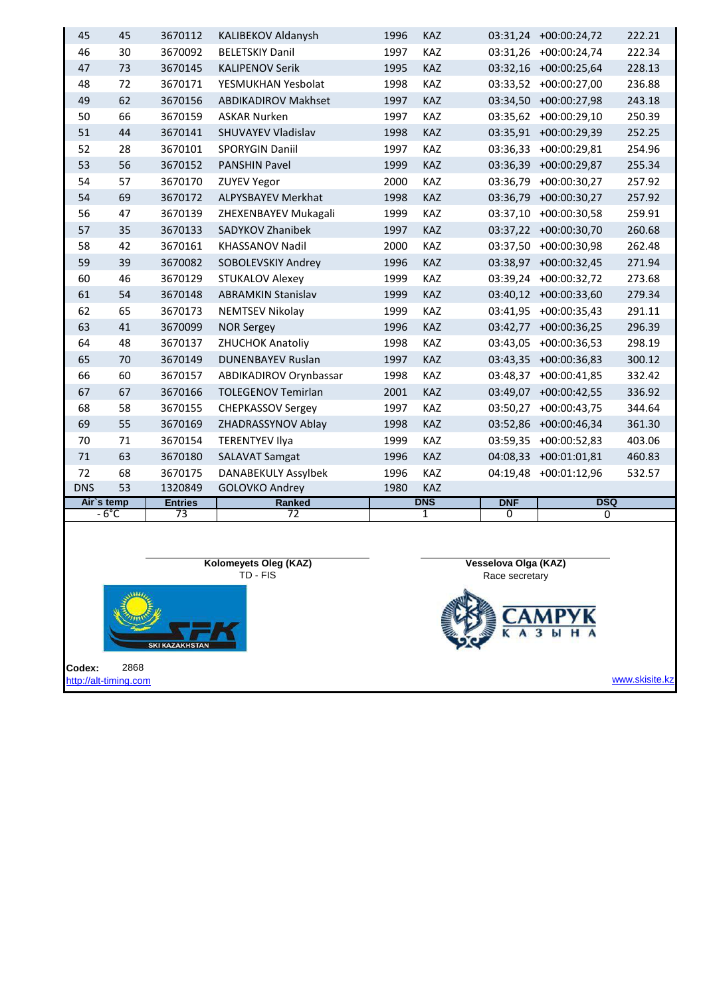|            | $-6^{\circ}$ C | $\overline{73}$ | $\overline{72}$            |      | 1          | $\Omega$   | $\Omega$              |        |
|------------|----------------|-----------------|----------------------------|------|------------|------------|-----------------------|--------|
| Air's temp |                | <b>Entries</b>  | <b>Ranked</b>              |      | <b>DNS</b> | <b>DNF</b> | <b>DSQ</b>            |        |
| <b>DNS</b> | 53             | 1320849         | <b>GOLOVKO Andrey</b>      | 1980 | <b>KAZ</b> |            |                       |        |
| 72         | 68             | 3670175         | <b>DANABEKULY Assylbek</b> | 1996 | KAZ        |            | 04:19,48 +00:01:12,96 | 532.57 |
| 71         | 63             | 3670180         | <b>SALAVAT Samgat</b>      | 1996 | KAZ        | 04:08,33   | $+00:01:01,81$        | 460.83 |
| 70         | 71             | 3670154         | <b>TERENTYEV Ilya</b>      | 1999 | KAZ        | 03:59,35   | $+00:00:52,83$        | 403.06 |
| 69         | 55             | 3670169         | ZHADRASSYNOV Ablay         | 1998 | KAZ        | 03:52,86   | $+00:00:46,34$        | 361.30 |
| 68         | 58             | 3670155         | <b>CHEPKASSOV Sergey</b>   | 1997 | <b>KAZ</b> | 03:50,27   | $+00:00:43,75$        | 344.64 |
| 67         | 67             | 3670166         | <b>TOLEGENOV Temirlan</b>  | 2001 | <b>KAZ</b> |            | 03:49,07 +00:00:42,55 | 336.92 |
| 66         | 60             | 3670157         | ABDIKADIROV Orynbassar     | 1998 | <b>KAZ</b> | 03:48,37   | $+00:00:41,85$        | 332.42 |
| 65         | 70             | 3670149         | <b>DUNENBAYEV Ruslan</b>   | 1997 | KAZ        | 03:43,35   | $+00:00:36,83$        | 300.12 |
| 64         | 48             | 3670137         | <b>ZHUCHOK Anatoliy</b>    | 1998 | KAZ        | 03:43,05   | $+00:00:36,53$        | 298.19 |
| 63         | 41             | 3670099         | <b>NOR Sergey</b>          | 1996 | <b>KAZ</b> | 03:42,77   | $+00:00:36,25$        | 296.39 |
| 62         | 65             | 3670173         | <b>NEMTSEV Nikolay</b>     | 1999 | <b>KAZ</b> |            | 03:41,95 +00:00:35,43 | 291.11 |
| 61         | 54             | 3670148         | <b>ABRAMKIN Stanislav</b>  | 1999 | <b>KAZ</b> | 03:40,12   | $+00:00:33,60$        | 279.34 |
| 60         | 46             | 3670129         | <b>STUKALOV Alexey</b>     | 1999 | <b>KAZ</b> | 03:39,24   | +00:00:32,72          | 273.68 |
| 59         | 39             | 3670082         | SOBOLEVSKIY Andrey         | 1996 | KAZ        | 03:38,97   | $+00:00:32,45$        | 271.94 |
| 58         | 42             | 3670161         | <b>KHASSANOV Nadil</b>     | 2000 | KAZ        | 03:37,50   | $+00:00:30,98$        | 262.48 |
| 57         | 35             | 3670133         | SADYKOV Zhanibek           | 1997 | <b>KAZ</b> |            | 03:37,22 +00:00:30,70 | 260.68 |
| 56         | 47             | 3670139         | ZHEXENBAYEV Mukagali       | 1999 | KAZ        | 03:37,10   | $+00:00:30,58$        | 259.91 |
| 54         | 69             | 3670172         | <b>ALPYSBAYEV Merkhat</b>  | 1998 | KAZ        | 03:36,79   | $+00:00:30,27$        | 257.92 |
| 54         | 57             | 3670170         | <b>ZUYEV Yegor</b>         | 2000 | KAZ        | 03:36,79   | $+00:00:30,27$        | 257.92 |
| 53         | 56             | 3670152         | <b>PANSHIN Pavel</b>       | 1999 | <b>KAZ</b> | 03:36,39   | $+00:00:29,87$        | 255.34 |
| 52         | 28             | 3670101         | <b>SPORYGIN Daniil</b>     | 1997 | KAZ        | 03:36,33   | $+00:00:29,81$        | 254.96 |
| 51         | 44             | 3670141         | <b>SHUVAYEV Vladislav</b>  | 1998 | KAZ        | 03:35,91   | $+00:00:29,39$        | 252.25 |
| 50         | 66             | 3670159         | <b>ASKAR Nurken</b>        | 1997 | KAZ        | 03:35,62   | $+00:00:29,10$        | 250.39 |
| 49         | 62             | 3670156         | <b>ABDIKADIROV Makhset</b> | 1997 | KAZ        | 03:34,50   | $+00:00:27,98$        | 243.18 |
| 48         | 72             | 3670171         | YESMUKHAN Yesbolat         | 1998 | KAZ        | 03:33,52   | $+00:00:27,00$        | 236.88 |
| 47         | 73             | 3670145         | <b>KALIPENOV Serik</b>     | 1995 | <b>KAZ</b> |            | 03:32,16 +00:00:25,64 | 228.13 |
| 46         | 30             | 3670092         | <b>BELETSKIY Danil</b>     | 1997 | KAZ        | 03:31,26   | $+00:00:24,74$        | 222.34 |
| 45         | 45             | 3670112         | KALIBEKOV Aldanysh         | 1996 | KAZ        | 03:31,24   | $+00:00:24,72$        | 222.21 |
|            |                |                 |                            |      |            |            |                       |        |

**Kolomeyets Oleg (KAZ)** TD - FIS



**Codex:** 2868 [http://alt-timing.com](http://alt-timing.com/) **Vesselova Olga (KAZ)** Race secretary  $\frac{y_{R}}{H}$ A  $\overline{\mathbf{3}}$ Ы

www.skisite.kz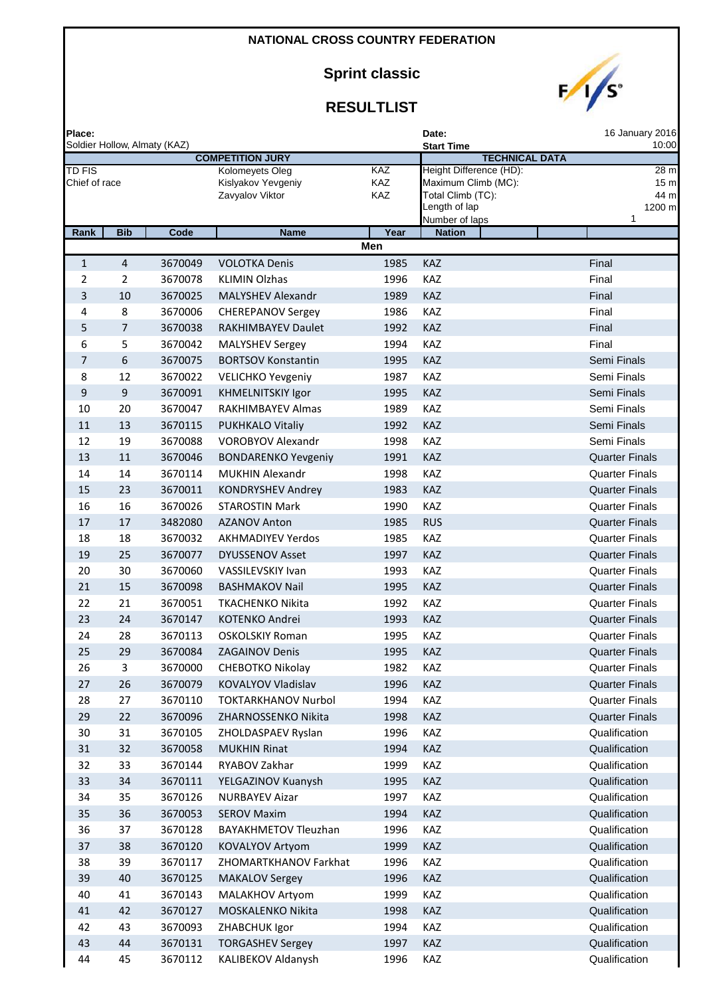# **Sprint classic**



| Place:                         |                |                              |                                                          |                   | Date:                                                                                                  | 16 January 2016                                |
|--------------------------------|----------------|------------------------------|----------------------------------------------------------|-------------------|--------------------------------------------------------------------------------------------------------|------------------------------------------------|
|                                |                | Soldier Hollow, Almaty (KAZ) | <b>COMPETITION JURY</b>                                  |                   | <b>Start Time</b><br><b>TECHNICAL DATA</b>                                                             | 10:00                                          |
| <b>TD FIS</b><br>Chief of race |                |                              | Kolomeyets Oleg<br>Kislyakov Yevgeniy<br>Zavyalov Viktor | KAZ<br>KAZ<br>KAZ | Height Difference (HD):<br>Maximum Climb (MC):<br>Total Climb (TC):<br>Length of lap<br>Number of laps | 28 m<br>15 <sub>m</sub><br>44 m<br>1200 m<br>1 |
| Rank                           | <b>Bib</b>     | Code                         | <b>Name</b>                                              | Year              | <b>Nation</b>                                                                                          |                                                |
|                                |                |                              |                                                          | Men               |                                                                                                        |                                                |
| $\mathbf{1}$                   | $\overline{4}$ | 3670049                      | <b>VOLOTKA Denis</b>                                     | 1985              | <b>KAZ</b>                                                                                             | Final                                          |
| $\overline{2}$                 | $\overline{2}$ | 3670078                      | <b>KLIMIN Olzhas</b>                                     | 1996              | KAZ                                                                                                    | Final                                          |
| 3                              | 10             | 3670025                      | MALYSHEV Alexandr                                        | 1989              | <b>KAZ</b>                                                                                             | Final                                          |
| 4                              | 8              | 3670006                      | <b>CHEREPANOV Sergey</b>                                 | 1986              | KAZ                                                                                                    | Final                                          |
| 5                              | 7              | 3670038                      | RAKHIMBAYEV Daulet                                       | 1992              | KAZ                                                                                                    | Final                                          |
| 6                              | 5              | 3670042                      | <b>MALYSHEV Sergey</b>                                   | 1994              | KAZ                                                                                                    | Final                                          |
| 7                              | 6              | 3670075                      | <b>BORTSOV Konstantin</b>                                | 1995              | KAZ                                                                                                    | Semi Finals                                    |
| 8                              | 12             | 3670022                      | <b>VELICHKO Yevgeniy</b>                                 | 1987              | KAZ                                                                                                    | Semi Finals                                    |
| 9                              | 9              | 3670091                      | <b>KHMELNITSKIY Igor</b>                                 | 1995              | <b>KAZ</b>                                                                                             | Semi Finals                                    |
| 10                             | 20             | 3670047                      | <b>RAKHIMBAYEV Almas</b>                                 | 1989              | KAZ                                                                                                    | Semi Finals                                    |
| 11                             | 13             | 3670115                      | <b>PUKHKALO Vitaliy</b>                                  | 1992              | KAZ                                                                                                    | Semi Finals                                    |
| 12                             | 19             | 3670088                      | <b>VOROBYOV Alexandr</b>                                 | 1998              | KAZ                                                                                                    | Semi Finals                                    |
| 13                             | 11             | 3670046                      | <b>BONDARENKO Yevgeniy</b>                               | 1991              | <b>KAZ</b>                                                                                             | <b>Quarter Finals</b>                          |
| 14                             | 14             | 3670114                      | <b>MUKHIN Alexandr</b>                                   | 1998              | KAZ                                                                                                    | <b>Quarter Finals</b>                          |
| 15                             | 23             | 3670011                      | <b>KONDRYSHEV Andrey</b>                                 | 1983              | <b>KAZ</b>                                                                                             | <b>Quarter Finals</b>                          |
| 16                             | 16             | 3670026                      | <b>STAROSTIN Mark</b>                                    | 1990              | KAZ<br><b>RUS</b>                                                                                      | <b>Quarter Finals</b><br><b>Quarter Finals</b> |
| 17                             | 17             | 3482080                      | <b>AZANOV Anton</b>                                      | 1985              |                                                                                                        |                                                |
| 18<br>19                       | 18<br>25       | 3670032<br>3670077           | <b>AKHMADIYEV Yerdos</b><br><b>DYUSSENOV Asset</b>       | 1985<br>1997      | KAZ<br><b>KAZ</b>                                                                                      | <b>Quarter Finals</b><br><b>Quarter Finals</b> |
| 20                             | 30             | 3670060                      | VASSILEVSKIY Ivan                                        | 1993              | KAZ                                                                                                    | <b>Quarter Finals</b>                          |
| 21                             | 15             | 3670098                      | <b>BASHMAKOV Nail</b>                                    | 1995              | KAZ                                                                                                    | <b>Quarter Finals</b>                          |
| 22                             | 21             | 3670051                      | <b>TKACHENKO Nikita</b>                                  | 1992              | KAZ                                                                                                    | <b>Quarter Finals</b>                          |
| 23                             | 24             | 3670147                      | KOTENKO Andrei                                           | 1993              | <b>KAZ</b>                                                                                             | <b>Quarter Finals</b>                          |
| 24                             | 28             | 3670113                      | <b>OSKOLSKIY Roman</b>                                   | 1995              | <b>KAZ</b>                                                                                             | <b>Quarter Finals</b>                          |
| 25                             | 29             | 3670084                      | <b>ZAGAINOV Denis</b>                                    | 1995              | <b>KAZ</b>                                                                                             | <b>Quarter Finals</b>                          |
| 26                             | 3              | 3670000                      | CHEBOTKO Nikolay                                         | 1982              | KAZ                                                                                                    | <b>Quarter Finals</b>                          |
| 27                             | 26             | 3670079                      | KOVALYOV Vladislav                                       | 1996              | KAZ                                                                                                    | <b>Quarter Finals</b>                          |
| 28                             | 27             | 3670110                      | <b>TOKTARKHANOV Nurbol</b>                               | 1994              | KAZ                                                                                                    | <b>Quarter Finals</b>                          |
| 29                             | 22             | 3670096                      | ZHARNOSSENKO Nikita                                      | 1998              | KAZ                                                                                                    | <b>Quarter Finals</b>                          |
| 30                             | 31             | 3670105                      | ZHOLDASPAEV Ryslan                                       | 1996              | KAZ                                                                                                    | Qualification                                  |
| 31                             | 32             | 3670058                      | <b>MUKHIN Rinat</b>                                      | 1994              | KAZ                                                                                                    | Qualification                                  |
| 32                             | 33             | 3670144                      | RYABOV Zakhar                                            | 1999              | KAZ                                                                                                    | Qualification                                  |
| 33                             | 34             | 3670111                      | YELGAZINOV Kuanysh                                       | 1995              | KAZ                                                                                                    | Qualification                                  |
| 34                             | 35             | 3670126                      | <b>NURBAYEV Aizar</b>                                    | 1997              | KAZ                                                                                                    | Qualification                                  |
| 35                             | 36             | 3670053                      | <b>SEROV Maxim</b>                                       | 1994              | KAZ                                                                                                    | Qualification                                  |
| 36                             | 37             | 3670128                      | BAYAKHMETOV Tleuzhan                                     | 1996              | KAZ                                                                                                    | Qualification                                  |
| 37                             | 38             | 3670120                      | KOVALYOV Artyom                                          | 1999              | KAZ                                                                                                    | Qualification                                  |
| 38                             | 39             | 3670117                      | ZHOMARTKHANOV Farkhat                                    | 1996              | KAZ                                                                                                    | Qualification                                  |
| 39                             | 40             | 3670125                      | <b>MAKALOV Sergey</b>                                    | 1996              | KAZ                                                                                                    | Qualification                                  |
| 40                             | 41             | 3670143                      | MALAKHOV Artyom                                          | 1999              | KAZ                                                                                                    | Qualification                                  |
| 41                             | 42             | 3670127                      | MOSKALENKO Nikita                                        | 1998              | KAZ                                                                                                    | Qualification                                  |
| 42                             | 43             | 3670093                      | ZHABCHUK Igor                                            | 1994              | KAZ                                                                                                    | Qualification                                  |
| 43                             | 44             | 3670131                      | <b>TORGASHEV Sergey</b>                                  | 1997              | KAZ                                                                                                    | Qualification                                  |
| 44                             | 45             | 3670112                      | KALIBEKOV Aldanysh                                       | 1996              | KAZ                                                                                                    | Qualification                                  |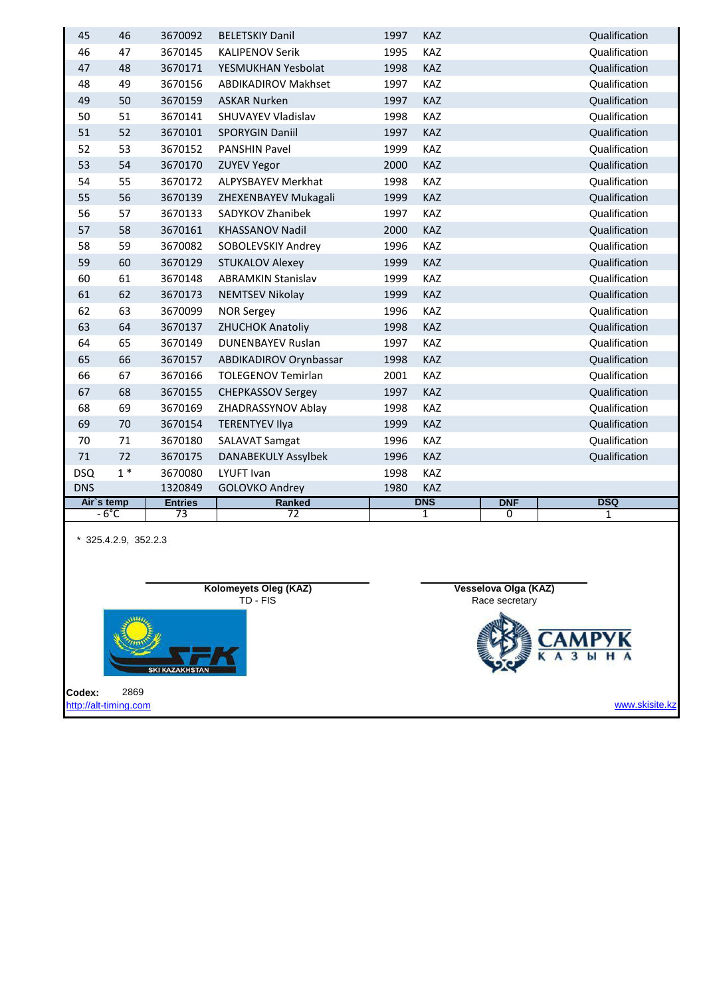| 45         | 46             | 3670092        | <b>BELETSKIY Danil</b>     | 1997 | <b>KAZ</b>   |                | Qualification |
|------------|----------------|----------------|----------------------------|------|--------------|----------------|---------------|
| 46         | 47             | 3670145        | <b>KALIPENOV Serik</b>     | 1995 | KAZ          |                | Qualification |
| 47         | 48             | 3670171        | YESMUKHAN Yesbolat         | 1998 | KAZ          |                | Qualification |
| 48         | 49             | 3670156        | <b>ABDIKADIROV Makhset</b> | 1997 | <b>KAZ</b>   |                | Qualification |
| 49         | 50             | 3670159        | <b>ASKAR Nurken</b>        | 1997 | KAZ          |                | Qualification |
| 50         | 51             | 3670141        | SHUVAYEV Vladislav         | 1998 | KAZ          |                | Qualification |
| 51         | 52             | 3670101        | <b>SPORYGIN Daniil</b>     | 1997 | KAZ          |                | Qualification |
| 52         | 53             | 3670152        | <b>PANSHIN Pavel</b>       | 1999 | KAZ          |                | Qualification |
| 53         | 54             | 3670170        | <b>ZUYEV Yegor</b>         | 2000 | <b>KAZ</b>   |                | Qualification |
| 54         | 55             | 3670172        | <b>ALPYSBAYEV Merkhat</b>  | 1998 | KAZ          |                | Qualification |
| 55         | 56             | 3670139        | ZHEXENBAYEV Mukagali       | 1999 | KAZ          |                | Qualification |
| 56         | 57             | 3670133        | SADYKOV Zhanibek           | 1997 | KAZ          |                | Qualification |
| 57         | 58             | 3670161        | <b>KHASSANOV Nadil</b>     | 2000 | KAZ          |                | Qualification |
| 58         | 59             | 3670082        | SOBOLEVSKIY Andrey         | 1996 | KAZ          |                | Qualification |
| 59         | 60             | 3670129        | <b>STUKALOV Alexey</b>     | 1999 | KAZ          |                | Qualification |
| 60         | 61             | 3670148        | <b>ABRAMKIN Stanislav</b>  | 1999 | KAZ          |                | Qualification |
| 61         | 62             | 3670173        | <b>NEMTSEV Nikolay</b>     | 1999 | KAZ          |                | Qualification |
| 62         | 63             | 3670099        | <b>NOR Sergey</b>          | 1996 | KAZ          |                | Qualification |
| 63         | 64             | 3670137        | <b>ZHUCHOK Anatoliy</b>    | 1998 | KAZ          |                | Qualification |
| 64         | 65             | 3670149        | <b>DUNENBAYEV Ruslan</b>   | 1997 | KAZ          |                | Qualification |
| 65         | 66             | 3670157        | ABDIKADIROV Orynbassar     | 1998 | <b>KAZ</b>   |                | Qualification |
| 66         | 67             | 3670166        | <b>TOLEGENOV Temirlan</b>  | 2001 | KAZ          |                | Qualification |
| 67         | 68             | 3670155        | <b>CHEPKASSOV Sergey</b>   | 1997 | <b>KAZ</b>   |                | Qualification |
| 68         | 69             | 3670169        | ZHADRASSYNOV Ablay         | 1998 | KAZ          |                | Qualification |
| 69         | 70             | 3670154        | <b>TERENTYEV Ilya</b>      | 1999 | KAZ          |                | Qualification |
| 70         | 71             | 3670180        | <b>SALAVAT Samgat</b>      | 1996 | KAZ          |                | Qualification |
| 71         | 72             | 3670175        | <b>DANABEKULY Assylbek</b> | 1996 | KAZ          |                | Qualification |
| <b>DSQ</b> | $1 *$          | 3670080        | LYUFT Ivan                 | 1998 | KAZ          |                |               |
| <b>DNS</b> |                | 1320849        | <b>GOLOVKO Andrey</b>      | 1980 | KAZ          |                |               |
| Air's temp |                | <b>Entries</b> | Ranked                     |      | <b>DNS</b>   | <b>DNF</b>     | <b>DSQ</b>    |
|            | $-6^{\circ}$ C | 73             | 72                         |      | $\mathbf{1}$ | $\overline{0}$ | 1             |

\* 325.4.2.9, 352.2.3

| Kolomeyets Oleg (KAZ)<br>TD - FIS       | Vesselova Olga (KAZ) |
|-----------------------------------------|----------------------|
| <b>SKI KAZAKHSTAN</b>                   | Race secretary       |
| 2869<br>Codex:<br>http://alt-timing.com | www.skisite.kz       |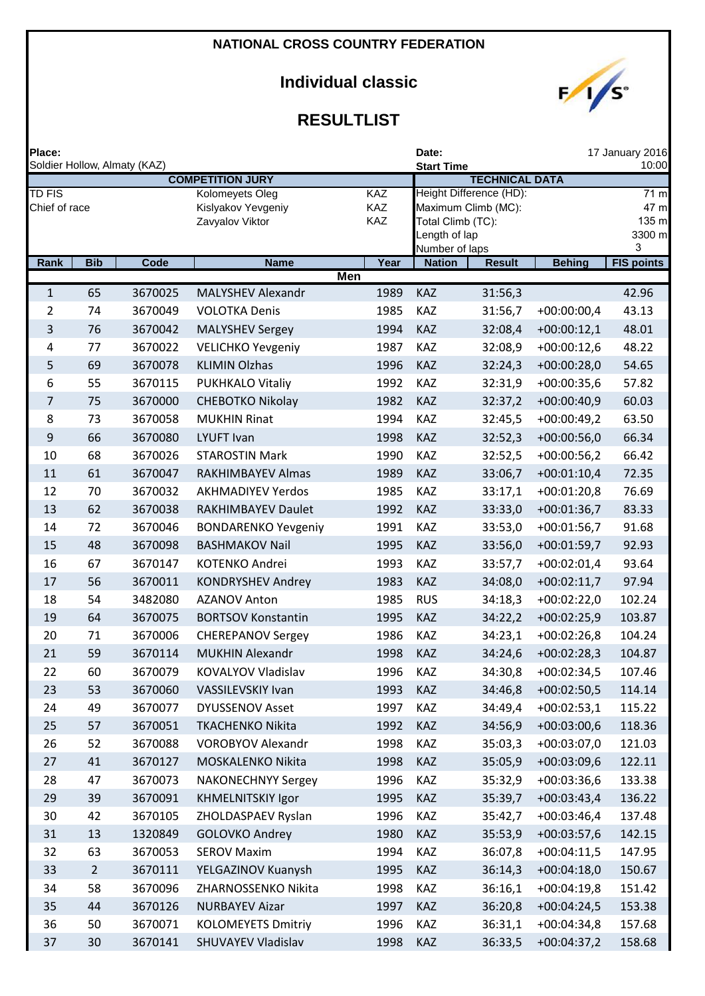# **Individual classic**



| Place:                         |                | Soldier Hollow, Almaty (KAZ) |                                                          |                          |              | Date:<br><b>Start Time</b>                                                  | 17 January 2016<br>10:00 |                                      |                   |
|--------------------------------|----------------|------------------------------|----------------------------------------------------------|--------------------------|--------------|-----------------------------------------------------------------------------|--------------------------|--------------------------------------|-------------------|
|                                |                |                              | <b>COMPETITION JURY</b>                                  |                          |              |                                                                             | <b>TECHNICAL DATA</b>    |                                      |                   |
| <b>TD FIS</b><br>Chief of race |                |                              | Kolomeyets Oleg<br>Kislyakov Yevgeniy<br>Zavyalov Viktor | <b>KAZ</b><br>KAZ<br>KAZ |              | Maximum Climb (MC):<br>Total Climb (TC):<br>Length of lap<br>Number of laps | Height Difference (HD):  | 71 m<br>47 m<br>135 m<br>3300 m<br>3 |                   |
| Rank                           | <b>Bib</b>     | Code                         | <b>Name</b>                                              |                          | Year         | <b>Nation</b>                                                               | <b>Result</b>            | <b>Behing</b>                        | <b>FIS points</b> |
|                                |                |                              |                                                          | <b>Men</b>               |              |                                                                             |                          |                                      |                   |
| $\mathbf{1}$                   | 65<br>74       | 3670025<br>3670049           | <b>MALYSHEV Alexandr</b>                                 |                          | 1989         | KAZ<br>KAZ                                                                  | 31:56,3<br>31:56,7       |                                      | 42.96             |
| 2<br>3                         | 76             | 3670042                      | <b>VOLOTKA Denis</b><br><b>MALYSHEV Sergey</b>           |                          | 1985<br>1994 | KAZ                                                                         | 32:08,4                  | $+00:00:00,4$<br>$+00:00:12,1$       | 43.13<br>48.01    |
| 4                              | 77             | 3670022                      | <b>VELICHKO Yevgeniy</b>                                 |                          | 1987         | KAZ                                                                         | 32:08,9                  | $+00:00:12,6$                        | 48.22             |
| 5                              | 69             | 3670078                      | <b>KLIMIN Olzhas</b>                                     |                          | 1996         | KAZ                                                                         | 32:24,3                  | $+00:00:28,0$                        | 54.65             |
| 6                              | 55             | 3670115                      | PUKHKALO Vitaliy                                         |                          | 1992         | KAZ                                                                         | 32:31,9                  | $+00:00:35,6$                        | 57.82             |
| 7                              | 75             | 3670000                      | <b>CHEBOTKO Nikolay</b>                                  |                          | 1982         | KAZ                                                                         | 32:37,2                  | $+00:00:40,9$                        | 60.03             |
| 8                              | 73             | 3670058                      | <b>MUKHIN Rinat</b>                                      |                          | 1994         | KAZ                                                                         | 32:45,5                  | $+00:00:49,2$                        | 63.50             |
| 9                              | 66             | 3670080                      | <b>LYUFT Ivan</b>                                        |                          | 1998         | KAZ                                                                         | 32:52,3                  | $+00:00:56,0$                        | 66.34             |
| 10                             | 68             | 3670026                      | <b>STAROSTIN Mark</b>                                    |                          | 1990         | KAZ                                                                         | 32:52,5                  | $+00:00:56,2$                        | 66.42             |
| 11                             | 61             | 3670047                      | RAKHIMBAYEV Almas                                        |                          | 1989         | KAZ                                                                         | 33:06,7                  | $+00:01:10,4$                        | 72.35             |
| 12                             | 70             | 3670032                      | <b>AKHMADIYEV Yerdos</b>                                 |                          | 1985         | <b>KAZ</b>                                                                  | 33:17,1                  | $+00:01:20,8$                        | 76.69             |
| 13                             | 62             | 3670038                      | RAKHIMBAYEV Daulet                                       |                          | 1992         | KAZ                                                                         | 33:33,0                  | $+00:01:36,7$                        | 83.33             |
| 14                             | 72             | 3670046                      | <b>BONDARENKO Yevgeniy</b>                               |                          | 1991         | KAZ                                                                         | 33:53,0                  | $+00:01:56,7$                        | 91.68             |
| 15                             | 48             | 3670098                      | <b>BASHMAKOV Nail</b>                                    |                          | 1995         | KAZ                                                                         | 33:56,0                  | $+00:01:59,7$                        | 92.93             |
| 16                             | 67             | 3670147                      | KOTENKO Andrei                                           |                          | 1993         | KAZ                                                                         | 33:57,7                  | $+00:02:01,4$                        | 93.64             |
| 17                             | 56             | 3670011                      | <b>KONDRYSHEV Andrey</b>                                 |                          | 1983         | KAZ                                                                         | 34:08,0                  | $+00:02:11,7$                        | 97.94             |
| 18                             | 54             | 3482080                      | <b>AZANOV Anton</b>                                      |                          | 1985         | <b>RUS</b>                                                                  | 34:18,3                  | $+00:02:22,0$                        | 102.24            |
| 19                             | 64             | 3670075                      | <b>BORTSOV Konstantin</b>                                |                          | 1995         | KAZ                                                                         | 34:22,2                  | $+00:02:25,9$                        | 103.87            |
| 20                             | 71             | 3670006                      | <b>CHEREPANOV Sergey</b>                                 |                          | 1986         | <b>KAZ</b>                                                                  | 34:23,1                  | $+00:02:26,8$                        | 104.24            |
| 21                             | 59             | 3670114                      | <b>MUKHIN Alexandr</b>                                   |                          | 1998         | KAZ                                                                         | 34:24,6                  | $+00:02:28,3$                        | 104.87            |
| 22                             | 60             | 3670079                      | KOVALYOV Vladislav                                       |                          | 1996         | <b>KAZ</b>                                                                  | 34:30,8                  | $+00:02:34,5$                        | 107.46            |
| 23                             | 53             | 3670060                      | VASSILEVSKIY Ivan                                        |                          | 1993         | KAZ                                                                         | 34:46,8                  | $+00:02:50,5$                        | 114.14            |
| 24                             | 49             | 3670077                      | <b>DYUSSENOV Asset</b>                                   |                          | 1997         | KAZ                                                                         | 34:49,4                  | $+00:02:53,1$                        | 115.22            |
| 25                             | 57             | 3670051                      | <b>TKACHENKO Nikita</b>                                  |                          | 1992         | <b>KAZ</b>                                                                  | 34:56,9                  | $+00:03:00,6$                        | 118.36            |
| 26                             | 52             | 3670088                      | <b>VOROBYOV Alexandr</b>                                 |                          | 1998         | KAZ                                                                         | 35:03,3                  | $+00:03:07,0$                        | 121.03            |
| 27                             | 41             | 3670127                      | MOSKALENKO Nikita                                        |                          | 1998         | <b>KAZ</b>                                                                  | 35:05,9                  | $+00:03:09,6$                        | 122.11            |
| 28                             | 47             | 3670073                      | <b>NAKONECHNYY Sergey</b>                                |                          | 1996         | <b>KAZ</b>                                                                  | 35:32,9                  | $+00:03:36,6$                        | 133.38            |
| 29                             | 39             | 3670091                      | <b>KHMELNITSKIY Igor</b>                                 |                          | 1995         | KAZ                                                                         | 35:39,7                  | $+00:03:43,4$                        | 136.22            |
| 30                             | 42             | 3670105                      | ZHOLDASPAEV Ryslan                                       |                          | 1996         | KAZ                                                                         | 35:42,7                  | $+00:03:46,4$                        | 137.48            |
| 31                             | 13             | 1320849                      | <b>GOLOVKO Andrey</b>                                    |                          | 1980         | KAZ                                                                         | 35:53,9                  | $+00:03:57,6$                        | 142.15            |
| 32                             | 63             | 3670053                      | <b>SEROV Maxim</b>                                       |                          | 1994         | KAZ                                                                         | 36:07,8                  | $+00:04:11,5$                        | 147.95            |
| 33                             | $\overline{2}$ | 3670111                      | YELGAZINOV Kuanysh                                       |                          | 1995         | KAZ                                                                         | 36:14,3                  | $+00:04:18,0$                        | 150.67            |
| 34                             | 58             | 3670096                      | ZHARNOSSENKO Nikita                                      |                          | 1998         | <b>KAZ</b>                                                                  | 36:16,1                  | $+00:04:19,8$                        | 151.42            |
| 35                             | 44             | 3670126                      | <b>NURBAYEV Aizar</b>                                    |                          | 1997         | KAZ                                                                         | 36:20,8                  | $+00:04:24,5$                        | 153.38            |
| 36                             | 50             | 3670071                      | <b>KOLOMEYETS Dmitriy</b>                                |                          | 1996         | KAZ                                                                         | 36:31,1                  | $+00:04:34,8$                        | 157.68            |
| 37                             | 30             | 3670141                      | SHUVAYEV Vladislav                                       |                          | 1998         | KAZ                                                                         | 36:33,5                  | $+00:04:37,2$                        | 158.68            |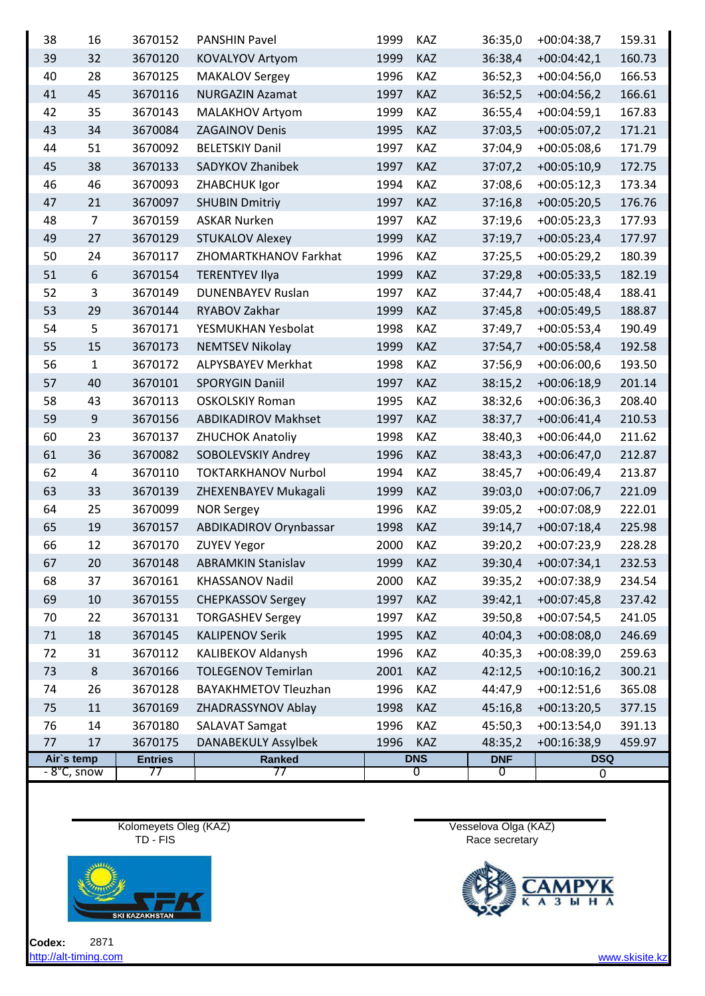| 38 | 16               | 3670152        | <b>PANSHIN Pavel</b>          | 1999     | KAZ        | 36:35,0        | $+00:04:38,7$       | 159.31 |
|----|------------------|----------------|-------------------------------|----------|------------|----------------|---------------------|--------|
| 39 | 32               | 3670120        | KOVALYOV Artyom               | 1999     | KAZ        | 36:38,4        | $+00:04:42,1$       | 160.73 |
| 40 | 28               | 3670125        | <b>MAKALOV Sergey</b>         | 1996     | KAZ        | 36:52,3        | $+00:04:56,0$       | 166.53 |
| 41 | 45               | 3670116        | <b>NURGAZIN Azamat</b>        | 1997     | KAZ        | 36:52,5        | $+00:04:56,2$       | 166.61 |
| 42 | 35               | 3670143        | <b>MALAKHOV Artyom</b>        | 1999     | KAZ        | 36:55,4        | $+00:04:59,1$       | 167.83 |
| 43 | 34               | 3670084        | <b>ZAGAINOV Denis</b>         | 1995     | KAZ        | 37:03,5        | $+00:05:07,2$       | 171.21 |
| 44 | 51               | 3670092        | <b>BELETSKIY Danil</b>        | 1997     | KAZ        | 37:04,9        | $+00:05:08,6$       | 171.79 |
| 45 | 38               | 3670133        | SADYKOV Zhanibek              | 1997     | KAZ        | 37:07,2        | $+00:05:10,9$       | 172.75 |
| 46 | 46               | 3670093        | ZHABCHUK Igor                 | 1994     | KAZ        | 37:08,6        | $+00:05:12,3$       | 173.34 |
| 47 | 21               | 3670097        | <b>SHUBIN Dmitriy</b>         | 1997     | KAZ        | 37:16,8        | $+00:05:20,5$       | 176.76 |
| 48 | $\overline{7}$   | 3670159        | <b>ASKAR Nurken</b>           | 1997     | KAZ        | 37:19,6        | $+00:05:23,3$       | 177.93 |
| 49 | 27               | 3670129        | <b>STUKALOV Alexey</b>        | 1999     | KAZ        | 37:19,7        | $+00:05:23,4$       | 177.97 |
| 50 | 24               | 3670117        | ZHOMARTKHANOV Farkhat         | 1996     | KAZ        | 37:25,5        | $+00:05:29,2$       | 180.39 |
| 51 | $\boldsymbol{6}$ | 3670154        | <b>TERENTYEV Ilya</b>         | 1999     | KAZ        | 37:29,8        | $+00:05:33,5$       | 182.19 |
| 52 | 3                | 3670149        | <b>DUNENBAYEV Ruslan</b>      | 1997     | KAZ        | 37:44,7        | $+00:05:48,4$       | 188.41 |
| 53 | 29               | 3670144        | RYABOV Zakhar                 | 1999     | KAZ        | 37:45,8        | $+00:05:49,5$       | 188.87 |
| 54 | 5                | 3670171        | YESMUKHAN Yesbolat            | 1998     | KAZ        | 37:49,7        | $+00:05:53,4$       | 190.49 |
| 55 | 15               | 3670173        | <b>NEMTSEV Nikolay</b>        | 1999     | KAZ        | 37:54,7        | $+00:05:58,4$       | 192.58 |
| 56 | $\mathbf{1}$     | 3670172        | <b>ALPYSBAYEV Merkhat</b>     | 1998     | KAZ        | 37:56,9        | $+00:06:00,6$       | 193.50 |
| 57 | 40               | 3670101        | <b>SPORYGIN Daniil</b>        | 1997     | KAZ        | 38:15,2        | $+00:06:18,9$       | 201.14 |
| 58 | 43               | 3670113        | <b>OSKOLSKIY Roman</b>        | 1995     | KAZ        | 38:32,6        | $+00:06:36,3$       | 208.40 |
| 59 | 9                | 3670156        | <b>ABDIKADIROV Makhset</b>    | 1997     | KAZ        | 38:37,7        | $+00:06:41,4$       | 210.53 |
| 60 | 23               | 3670137        | <b>ZHUCHOK Anatoliy</b>       | 1998     | KAZ        | 38:40,3        | $+00:06:44,0$       | 211.62 |
| 61 | 36               | 3670082        | SOBOLEVSKIY Andrey            | 1996     | KAZ        | 38:43,3        | $+00:06:47,0$       | 212.87 |
| 62 | $\overline{a}$   | 3670110        | <b>TOKTARKHANOV Nurbol</b>    | 1994     | KAZ        | 38:45,7        | $+00:06:49,4$       | 213.87 |
| 63 | 33               | 3670139        | ZHEXENBAYEV Mukagali          | 1999     | KAZ        | 39:03,0        | $+00:07:06,7$       | 221.09 |
| 64 | 25               | 3670099        | <b>NOR Sergey</b>             | 1996     | KAZ        | 39:05,2        | $+00:07:08,9$       | 222.01 |
| 65 | 19               | 3670157        | <b>ABDIKADIROV Orynbassar</b> | 1998     | <b>KAZ</b> | 39:14,7        | $+00:07:18,4$       | 225.98 |
| 66 | 12               | 3670170        | <b>ZUYEV Yegor</b>            | 2000     | KAZ        | 39:20,2        | $+00:07:23,9$       | 228.28 |
| 67 | 20               | 3670148        | <b>ABRAMKIN Stanislav</b>     | 1999 KAZ |            |                | 39:30,4 +00:07:34,1 | 232.53 |
| 68 | 37               | 3670161        | <b>KHASSANOV Nadil</b>        | 2000     | KAZ        | 39:35,2        | +00:07:38,9         | 234.54 |
| 69 | 10               | 3670155        | <b>CHEPKASSOV Sergey</b>      | 1997     | KAZ        | 39:42,1        | $+00:07:45,8$       | 237.42 |
| 70 | 22               | 3670131        | <b>TORGASHEV Sergey</b>       | 1997     | KAZ        | 39:50,8        | $+00:07:54,5$       | 241.05 |
| 71 | 18               | 3670145        | <b>KALIPENOV Serik</b>        | 1995     | KAZ        | 40:04,3        | $+00:08:08,0$       | 246.69 |
| 72 | 31               | 3670112        | KALIBEKOV Aldanysh            | 1996     | KAZ        | 40:35,3        | $+00:08:39,0$       | 259.63 |
| 73 | 8                | 3670166        | <b>TOLEGENOV Temirlan</b>     | 2001     | KAZ        | 42:12,5        | $+00:10:16,2$       | 300.21 |
| 74 | 26               | 3670128        | <b>BAYAKHMETOV Tleuzhan</b>   | 1996     | KAZ        | 44:47,9        | $+00:12:51,6$       | 365.08 |
| 75 | 11               | 3670169        | ZHADRASSYNOV Ablay            | 1998     | KAZ        | 45:16,8        | $+00:13:20,5$       | 377.15 |
| 76 | 14               | 3670180        | <b>SALAVAT Samgat</b>         | 1996     | KAZ        | 45:50,3        | $+00:13:54,0$       | 391.13 |
| 77 | 17               | 3670175        | <b>DANABEKULY Assylbek</b>    | 1996     | KAZ        | 48:35,2        | $+00:16:38,9$       | 459.97 |
|    | Air's temp       | <b>Entries</b> | <b>Ranked</b>                 |          | <b>DNS</b> | <b>DNF</b>     | <b>DSQ</b>          |        |
|    | - 8°C, snow      | 77             | 77                            |          | 0          | $\overline{0}$ | 0                   |        |

Kolomeyets Oleg (KAZ) Vesselova Olga (KAZ) TD - FIS Race secretary



**Codex:** 2871 [http://alt-timing.com](http://alt-timing.com/) www.skisite.kz



 $K$   $A$   $3$   $H$ 

 $\frac{1}{\sqrt{2}}$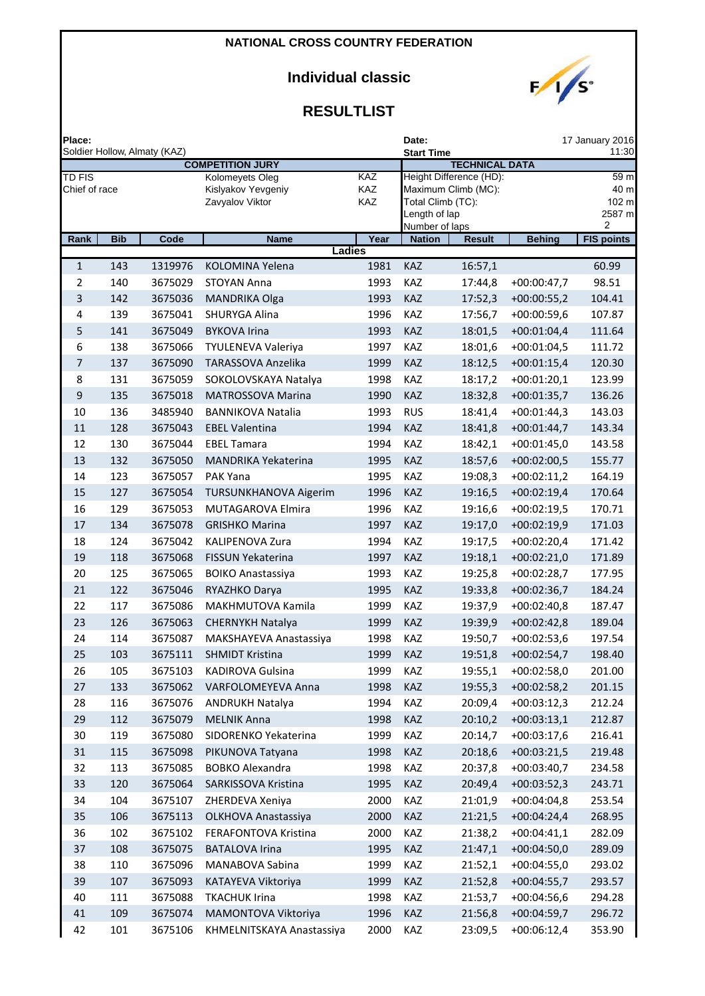## **Individual classic**



| Place:           |            |                              |                              |               | Date:                           |                         |               | 17 January 2016           |
|------------------|------------|------------------------------|------------------------------|---------------|---------------------------------|-------------------------|---------------|---------------------------|
|                  |            | Soldier Hollow, Almaty (KAZ) | <b>COMPETITION JURY</b>      |               | <b>Start Time</b>               | <b>TECHNICAL DATA</b>   |               | 11:30                     |
| <b>TD FIS</b>    |            |                              | Kolomeyets Oleg              | KAZ           |                                 | Height Difference (HD): |               | $\overline{5}9 \text{ m}$ |
| Chief of race    |            |                              | Kislyakov Yevgeniy           | KAZ           |                                 | Maximum Climb (MC):     |               | 40 m                      |
|                  |            |                              | Zavyalov Viktor              | KAZ           | Total Climb (TC):               |                         |               | 102 m                     |
|                  |            |                              |                              |               | Length of lap<br>Number of laps |                         |               | 2587 m<br>2               |
| Rank             | <b>Bib</b> | Code                         | <b>Name</b>                  | Year          | <b>Nation</b>                   | <b>Result</b>           | <b>Behing</b> | <b>FIS points</b>         |
|                  |            |                              |                              | <b>Ladies</b> |                                 |                         |               |                           |
| $\mathbf{1}$     | 143        | 1319976                      | KOLOMINA Yelena              | 1981          | <b>KAZ</b>                      | 16:57,1                 |               | 60.99                     |
| $\overline{2}$   | 140        | 3675029                      | <b>STOYAN Anna</b>           | 1993          | KAZ                             | 17:44,8                 | $+00:00:47,7$ | 98.51                     |
| 3                | 142        | 3675036                      | <b>MANDRIKA Olga</b>         | 1993          | <b>KAZ</b>                      | 17:52,3                 | $+00:00:55,2$ | 104.41                    |
| 4                | 139        | 3675041                      | SHURYGA Alina                | 1996          | KAZ                             | 17:56,7                 | $+00:00:59,6$ | 107.87                    |
| 5                | 141        | 3675049                      | <b>BYKOVA Irina</b>          | 1993          | KAZ                             | 18:01,5                 | $+00:01:04,4$ | 111.64                    |
| 6                | 138        | 3675066                      | <b>TYULENEVA Valeriya</b>    | 1997          | KAZ                             | 18:01,6                 | $+00:01:04,5$ | 111.72                    |
| 7                | 137        | 3675090                      | TARASSOVA Anzelika           | 1999          | KAZ                             | 18:12,5                 | $+00:01:15,4$ | 120.30                    |
| 8                | 131        | 3675059                      | SOKOLOVSKAYA Natalya         | 1998          | KAZ                             | 18:17,2                 | $+00:01:20,1$ | 123.99                    |
| $\boldsymbol{9}$ | 135        | 3675018                      | <b>MATROSSOVA Marina</b>     | 1990          | KAZ                             | 18:32,8                 | $+00:01:35,7$ | 136.26                    |
| 10               | 136        | 3485940                      | <b>BANNIKOVA Natalia</b>     | 1993          | <b>RUS</b>                      | 18:41,4                 | $+00:01:44,3$ | 143.03                    |
| 11               | 128        | 3675043                      | <b>EBEL Valentina</b>        | 1994          | KAZ                             | 18:41,8                 | $+00:01:44,7$ | 143.34                    |
| 12               | 130        | 3675044                      | <b>EBEL Tamara</b>           | 1994          | KAZ                             | 18:42,1                 | $+00:01:45,0$ | 143.58                    |
| 13               | 132        | 3675050                      | <b>MANDRIKA Yekaterina</b>   | 1995          | KAZ                             | 18:57,6                 | $+00:02:00,5$ | 155.77                    |
| 14               | 123        | 3675057                      | PAK Yana                     | 1995          | KAZ                             | 19:08,3                 | $+00:02:11,2$ | 164.19                    |
| 15               | 127        | 3675054                      | <b>TURSUNKHANOVA Aigerim</b> | 1996          | KAZ                             | 19:16,5                 | $+00:02:19,4$ | 170.64                    |
| 16               | 129        | 3675053                      | MUTAGAROVA Elmira            | 1996          | KAZ                             | 19:16,6                 | $+00:02:19,5$ | 170.71                    |
| 17               | 134        | 3675078                      | <b>GRISHKO Marina</b>        | 1997          | KAZ                             | 19:17,0                 | $+00:02:19,9$ | 171.03                    |
| 18               | 124        | 3675042                      | KALIPENOVA Zura              | 1994          | KAZ                             | 19:17,5                 | $+00:02:20,4$ | 171.42                    |
| 19               | 118        | 3675068                      | FISSUN Yekaterina            | 1997          | <b>KAZ</b>                      | 19:18,1                 | $+00:02:21,0$ | 171.89                    |
| 20               | 125        | 3675065                      | <b>BOIKO Anastassiya</b>     | 1993          | KAZ                             | 19:25,8                 | $+00:02:28,7$ | 177.95                    |
| 21               | 122        | 3675046                      | RYAZHKO Darya                | 1995          | KAZ                             | 19:33,8                 | $+00:02:36,7$ | 184.24                    |
| 22               | 117        | 3675086                      | MAKHMUTOVA Kamila            | 1999          | KAZ                             | 19:37,9                 | $+00:02:40,8$ | 187.47                    |
| 23               | 126        | 3675063                      | CHERNYKH Natalya             | 1999          | KAZ                             | 19:39,9                 | $+00:02:42,8$ | 189.04                    |
| 24               | 114        | 3675087                      | MAKSHAYEVA Anastassiya       | 1998          | KAZ                             | 19:50,7                 | $+00:02:53,6$ | 197.54                    |
| 25               | 103        | 3675111                      | <b>SHMIDT Kristina</b>       | 1999          | KAZ                             | 19:51,8                 | $+00:02:54,7$ | 198.40                    |
| 26               | 105        | 3675103                      | KADIROVA Gulsina             | 1999          | KAZ                             | 19:55,1                 | $+00:02:58,0$ | 201.00                    |
| 27               | 133        | 3675062                      | VARFOLOMEYEVA Anna           | 1998          | KAZ                             | 19:55,3                 | $+00:02:58,2$ | 201.15                    |
| 28               | 116        | 3675076                      | <b>ANDRUKH Natalya</b>       | 1994          | KAZ                             | 20:09,4                 | $+00:03:12,3$ | 212.24                    |
| 29               | 112        | 3675079                      | <b>MELNIK Anna</b>           | 1998          | KAZ                             | 20:10,2                 | $+00:03:13,1$ | 212.87                    |
| $30\,$           | 119        | 3675080                      | SIDORENKO Yekaterina         | 1999          | KAZ                             | 20:14,7                 | $+00:03:17,6$ | 216.41                    |
| 31               | 115        | 3675098                      | PIKUNOVA Tatyana             | 1998          | KAZ                             | 20:18,6                 | $+00:03:21,5$ | 219.48                    |
| 32               | 113        | 3675085                      | <b>BOBKO Alexandra</b>       | 1998          | KAZ                             | 20:37,8                 | $+00:03:40,7$ | 234.58                    |
| 33               | 120        | 3675064                      | SARKISSOVA Kristina          | 1995          | KAZ                             | 20:49,4                 | $+00:03:52,3$ | 243.71                    |
| 34               | 104        | 3675107                      | ZHERDEVA Xeniya              | 2000          | KAZ                             | 21:01,9                 | $+00:04:04,8$ | 253.54                    |
| 35               | 106        | 3675113                      | OLKHOVA Anastassiya          | 2000          | KAZ                             | 21:21,5                 | $+00:04:24,4$ | 268.95                    |
| 36               | 102        | 3675102                      | FERAFONTOVA Kristina         | 2000          | KAZ                             | 21:38,2                 | $+00:04:41,1$ | 282.09                    |
| 37               | 108        | 3675075                      | <b>BATALOVA Irina</b>        | 1995          | KAZ                             | 21:47,1                 | $+00:04:50,0$ | 289.09                    |
| 38               | 110        | 3675096                      | MANABOVA Sabina              | 1999          | KAZ                             | 21:52,1                 | $+00:04:55,0$ | 293.02                    |
| 39               | 107        | 3675093                      | KATAYEVA Viktoriya           | 1999          | KAZ                             | 21:52,8                 | $+00:04:55,7$ | 293.57                    |
| 40               | 111        | 3675088                      | <b>TKACHUK Irina</b>         | 1998          | KAZ                             | 21:53,7                 | $+00:04:56,6$ | 294.28                    |
| $41\,$           | 109        | 3675074                      | MAMONTOVA Viktoriya          | 1996          | KAZ                             | 21:56,8                 | $+00:04:59,7$ | 296.72                    |
| 42               | 101        | 3675106                      | KHMELNITSKAYA Anastassiya    | 2000          | KAZ                             | 23:09,5                 | $+00:06:12,4$ | 353.90                    |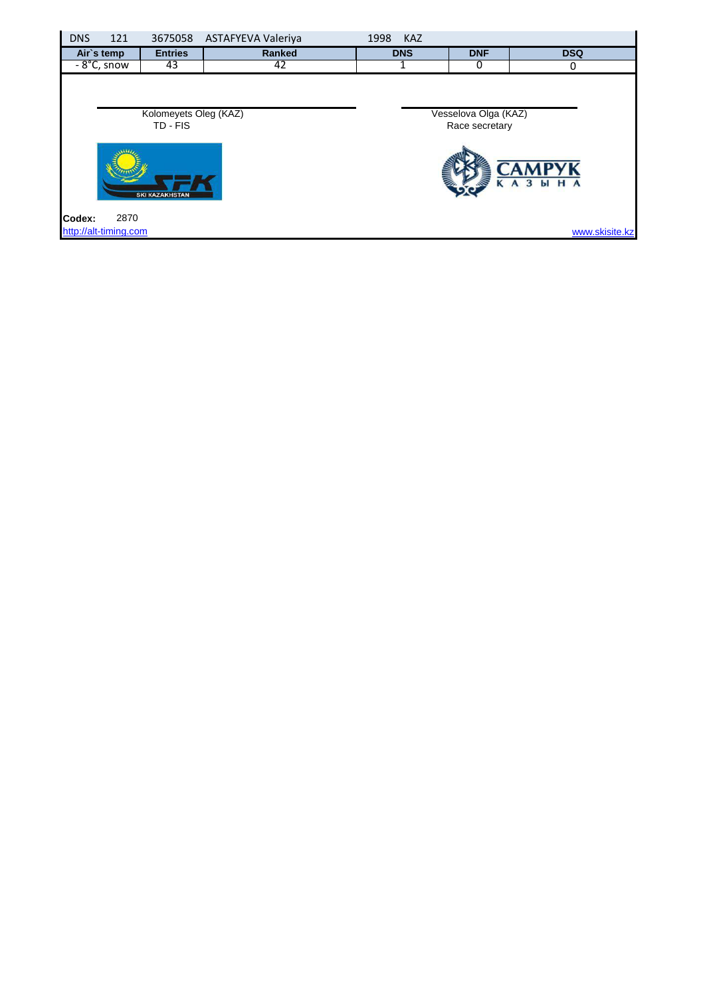| <b>DNS</b> | 121                           |                                   | 3675058 ASTAFYEVA Valeriya | 1998 | <b>KAZ</b> |                                        |                     |
|------------|-------------------------------|-----------------------------------|----------------------------|------|------------|----------------------------------------|---------------------|
|            | Air's temp                    | <b>Entries</b>                    | Ranked                     |      | <b>DNS</b> | <b>DNF</b>                             | <b>DSQ</b>          |
|            | $-8^{\circ}$ C, snow          | 43                                | 42                         |      |            | υ                                      | 0                   |
|            |                               | Kolomeyets Oleg (KAZ)<br>TD - FIS |                            |      |            | Vesselova Olga (KAZ)<br>Race secretary |                     |
|            |                               | <b>SKI KAZAKHSTAN</b>             |                            |      |            |                                        | УK<br><b>KA3 HA</b> |
| Codex:     | 2870<br>http://alt-timing.com |                                   |                            |      |            |                                        | www.skisite.kz      |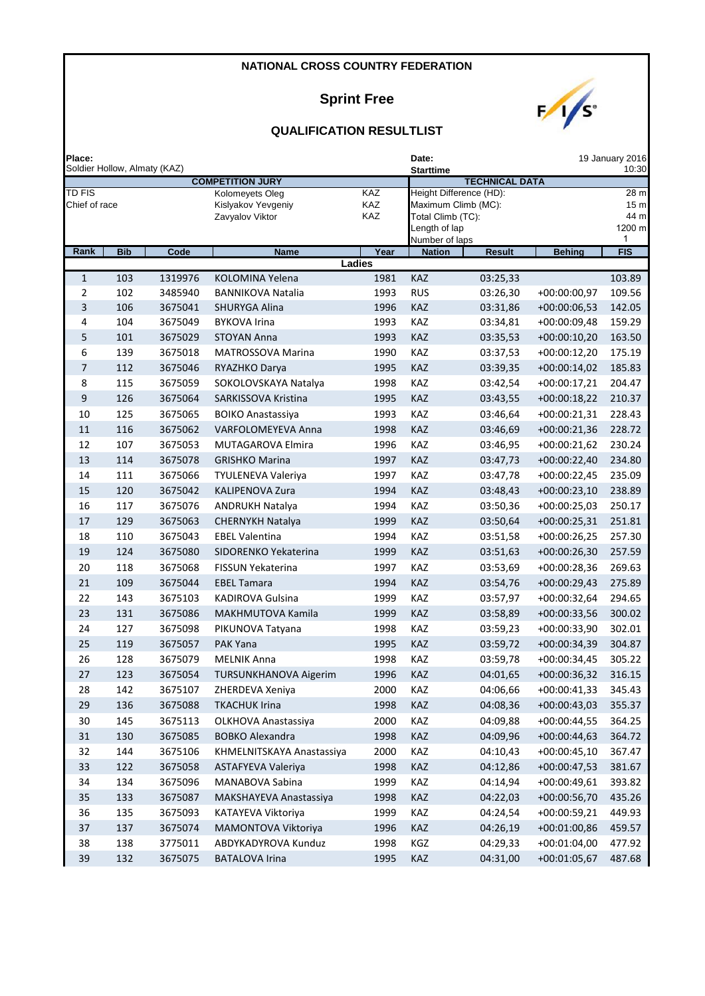### **Sprint Free**



| Place:           |                              |         |                                       |               | Date:<br>19 January 2016 |                       |                |                 |  |  |
|------------------|------------------------------|---------|---------------------------------------|---------------|--------------------------|-----------------------|----------------|-----------------|--|--|
|                  | Soldier Hollow, Almaty (KAZ) |         |                                       |               | Starttime                |                       |                | 10:30           |  |  |
| <b>TD FIS</b>    |                              |         | <b>COMPETITION JURY</b>               | KAZ           | Height Difference (HD):  | <b>TECHNICAL DATA</b> |                | 28 <sub>m</sub> |  |  |
| Chief of race    |                              |         | Kolomeyets Oleg<br>Kislyakov Yevgeniy | KAZ           | Maximum Climb (MC):      |                       |                | 15 <sub>m</sub> |  |  |
|                  |                              |         | Zavyalov Viktor                       | <b>KAZ</b>    | Total Climb (TC):        |                       |                | 44 m            |  |  |
|                  |                              |         |                                       |               | Length of lap            |                       |                | 1200 m          |  |  |
|                  |                              |         |                                       |               | Number of laps           |                       |                | 1               |  |  |
| Rank             | <b>Bib</b>                   | Code    | <b>Name</b>                           | Year          | <b>Nation</b>            | <b>Result</b>         | <b>Behing</b>  | <b>FIS</b>      |  |  |
|                  |                              |         |                                       | <b>Ladies</b> |                          |                       |                |                 |  |  |
| $1\,$            | 103                          | 1319976 | KOLOMINA Yelena                       | 1981          | KAZ                      | 03:25,33              |                | 103.89          |  |  |
| $\overline{2}$   | 102                          | 3485940 | <b>BANNIKOVA Natalia</b>              | 1993          | <b>RUS</b>               | 03:26,30              | +00:00:00,97   | 109.56          |  |  |
| $\overline{3}$   | 106                          | 3675041 | SHURYGA Alina                         | 1996          | KAZ                      | 03:31,86              | $+00:00:06,53$ | 142.05          |  |  |
| 4                | 104                          | 3675049 | <b>BYKOVA Irina</b>                   | 1993          | KAZ                      | 03:34,81              | +00:00:09,48   | 159.29          |  |  |
| 5                | 101                          | 3675029 | <b>STOYAN Anna</b>                    | 1993          | KAZ                      | 03:35,53              | $+00:00:10,20$ | 163.50          |  |  |
| 6                | 139                          | 3675018 | MATROSSOVA Marina                     | 1990          | <b>KAZ</b>               | 03:37,53              | $+00:00:12,20$ | 175.19          |  |  |
| 7                | 112                          | 3675046 | RYAZHKO Darya                         | 1995          | KAZ                      | 03:39,35              | $+00:00:14,02$ | 185.83          |  |  |
| 8                | 115                          | 3675059 | SOKOLOVSKAYA Natalya                  | 1998          | KAZ                      | 03:42,54              | $+00:00:17,21$ | 204.47          |  |  |
| $\boldsymbol{9}$ | 126                          | 3675064 | SARKISSOVA Kristina                   | 1995          | KAZ                      | 03:43,55              | $+00:00:18,22$ | 210.37          |  |  |
| 10               | 125                          | 3675065 | <b>BOIKO Anastassiya</b>              | 1993          | KAZ                      | 03:46,64              | $+00:00:21,31$ | 228.43          |  |  |
| $11\,$           | 116                          | 3675062 | <b>VARFOLOMEYEVA Anna</b>             | 1998          | <b>KAZ</b>               | 03:46,69              | $+00:00:21,36$ | 228.72          |  |  |
| 12               | 107                          | 3675053 | MUTAGAROVA Elmira                     | 1996          | KAZ                      | 03:46,95              | $+00:00:21,62$ | 230.24          |  |  |
| 13               | 114                          | 3675078 | <b>GRISHKO Marina</b>                 | 1997          | KAZ                      | 03:47,73              | +00:00:22,40   | 234.80          |  |  |
| 14               | 111                          | 3675066 | TYULENEVA Valeriya                    | 1997          | <b>KAZ</b>               | 03:47,78              | $+00:00:22,45$ | 235.09          |  |  |
| 15               | 120                          | 3675042 | <b>KALIPENOVA Zura</b>                | 1994          | KAZ                      | 03:48,43              | $+00:00:23,10$ | 238.89          |  |  |
| 16               | 117                          | 3675076 | <b>ANDRUKH Natalya</b>                | 1994          | <b>KAZ</b>               | 03:50,36              | $+00:00:25,03$ | 250.17          |  |  |
| 17               | 129                          | 3675063 | <b>CHERNYKH Natalya</b>               | 1999          | <b>KAZ</b>               | 03:50,64              | $+00:00:25,31$ | 251.81          |  |  |
| 18               | 110                          | 3675043 | <b>EBEL Valentina</b>                 | 1994          | KAZ                      | 03:51,58              | $+00:00:26,25$ | 257.30          |  |  |
| 19               | 124                          | 3675080 | SIDORENKO Yekaterina                  | 1999          | KAZ                      | 03:51,63              | +00:00:26,30   | 257.59          |  |  |
| 20               | 118                          | 3675068 | <b>FISSUN Yekaterina</b>              | 1997          | KAZ                      |                       |                | 269.63          |  |  |
|                  |                              |         |                                       |               |                          | 03:53,69              | +00:00:28,36   |                 |  |  |
| 21               | 109                          | 3675044 | <b>EBEL Tamara</b>                    | 1994          | KAZ                      | 03:54,76              | $+00:00:29,43$ | 275.89          |  |  |
| 22               | 143                          | 3675103 | <b>KADIROVA Gulsina</b>               | 1999          | KAZ                      | 03:57,97              | $+00:00:32,64$ | 294.65          |  |  |
| 23               | 131                          | 3675086 | MAKHMUTOVA Kamila                     | 1999          | KAZ                      | 03:58,89              | $+00:00:33,56$ | 300.02          |  |  |
| 24               | 127                          | 3675098 | PIKUNOVA Tatyana                      | 1998          | KAZ                      | 03:59,23              | +00:00:33,90   | 302.01          |  |  |
| 25               | 119                          | 3675057 | PAK Yana                              | 1995          | KAZ                      | 03:59,72              | +00:00:34,39   | 304.87          |  |  |
| 26               | 128                          | 3675079 | <b>MELNIK Anna</b>                    | 1998          | KAZ                      | 03:59,78              | $+00:00:34,45$ | 305.22          |  |  |
| 27               | 123                          | 3675054 | <b>TURSUNKHANOVA Aigerim</b>          | 1996          | KAZ                      | 04:01,65              | +00:00:36,32   | 316.15          |  |  |
| 28               | 142                          | 3675107 | ZHERDEVA Xeniya                       | 2000          | KAZ                      | 04:06,66              | +00:00:41,33   | 345.43          |  |  |
| 29               | 136                          | 3675088 | <b>TKACHUK Irina</b>                  | 1998          | KAZ                      | 04:08,36              | +00:00:43,03   | 355.37          |  |  |
| 30               | 145                          | 3675113 | OLKHOVA Anastassiya                   | 2000          | KAZ                      | 04:09,88              | $+00:00:44,55$ | 364.25          |  |  |
| 31               | 130                          | 3675085 | <b>BOBKO Alexandra</b>                | 1998          | KAZ                      | 04:09,96              | $+00:00:44,63$ | 364.72          |  |  |
| 32               | 144                          | 3675106 | KHMELNITSKAYA Anastassiya             | 2000          | KAZ                      | 04:10,43              | $+00:00:45,10$ | 367.47          |  |  |
| 33               | 122                          | 3675058 | ASTAFYEVA Valeriya                    | 1998          | KAZ                      | 04:12,86              | $+00:00:47,53$ | 381.67          |  |  |
| 34               | 134                          | 3675096 | MANABOVA Sabina                       | 1999          | KAZ                      | 04:14,94              | $+00:00:49,61$ | 393.82          |  |  |
| 35               | 133                          | 3675087 | MAKSHAYEVA Anastassiya                | 1998          | <b>KAZ</b>               | 04:22,03              | $+00:00:56,70$ | 435.26          |  |  |
| 36               | 135                          | 3675093 | KATAYEVA Viktoriya                    | 1999          | KAZ                      | 04:24,54              | +00:00:59,21   | 449.93          |  |  |
| 37               | 137                          | 3675074 | MAMONTOVA Viktoriya                   | 1996          | KAZ                      | 04:26,19              | $+00:01:00,86$ | 459.57          |  |  |
| 38               | 138                          | 3775011 | ABDYKADYROVA Kunduz                   | 1998          | KGZ                      | 04:29,33              | $+00:01:04,00$ | 477.92          |  |  |
| 39               | 132                          | 3675075 | <b>BATALOVA Irina</b>                 | 1995          | KAZ                      | 04:31,00              | $+00:01:05,67$ | 487.68          |  |  |
|                  |                              |         |                                       |               |                          |                       |                |                 |  |  |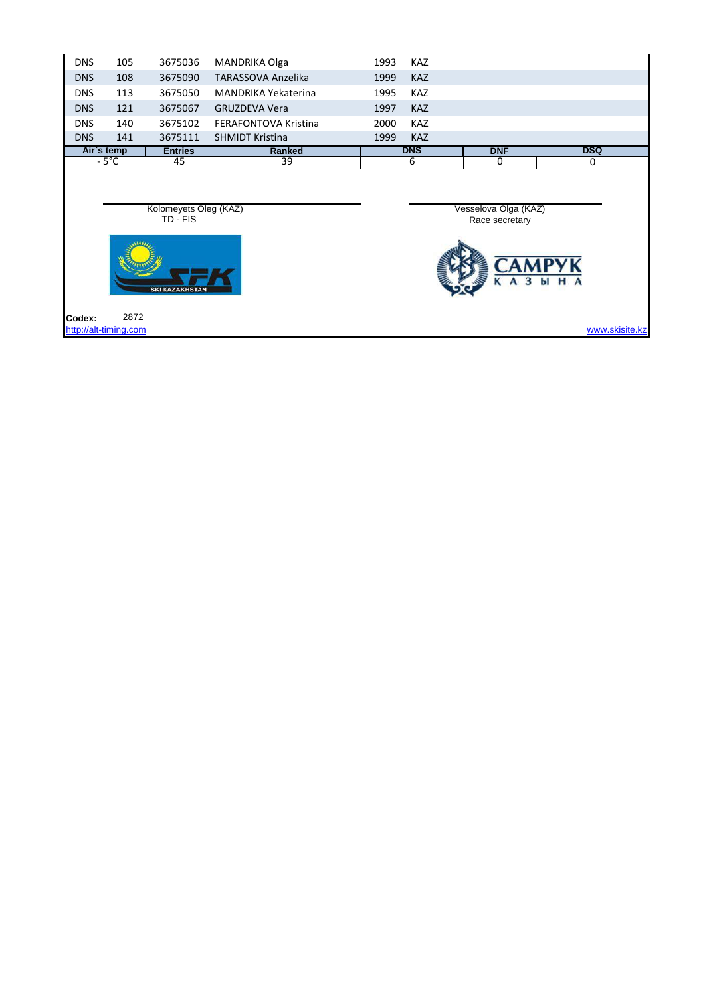| <b>DNS</b>                                                 | 105                           | 3675036        | MANDRIKA Olga               | 1993 | <b>KAZ</b> |                                        |                |
|------------------------------------------------------------|-------------------------------|----------------|-----------------------------|------|------------|----------------------------------------|----------------|
| <b>DNS</b>                                                 | 108                           | 3675090        | <b>TARASSOVA Anzelika</b>   | 1999 | <b>KAZ</b> |                                        |                |
| <b>DNS</b>                                                 | 113                           | 3675050        | <b>MANDRIKA Yekaterina</b>  | 1995 | <b>KAZ</b> |                                        |                |
| <b>DNS</b>                                                 | 121                           | 3675067        | <b>GRUZDEVA Vera</b>        | 1997 | <b>KAZ</b> |                                        |                |
| <b>DNS</b>                                                 | 140                           | 3675102        | <b>FERAFONTOVA Kristina</b> | 2000 | <b>KAZ</b> |                                        |                |
| <b>DNS</b>                                                 | 141                           | 3675111        | <b>SHMIDT Kristina</b>      | 1999 | <b>KAZ</b> |                                        |                |
|                                                            | Air's temp                    | <b>Entries</b> | Ranked                      |      | <b>DNS</b> | <b>DNF</b>                             | <b>DSQ</b>     |
|                                                            | $-5^{\circ}$ C                | 45             | 39                          |      | 6          | 0                                      | 0              |
| Kolomeyets Oleg (KAZ)<br>TD - FIS<br><b>SKI KAZAKHSTAN</b> |                               |                |                             |      |            | Vesselova Olga (KAZ)<br>Race secretary | н<br>ы         |
| Codex:                                                     | 2872<br>http://alt-timing.com |                |                             |      |            |                                        | www.skisite.kz |
|                                                            |                               |                |                             |      |            |                                        |                |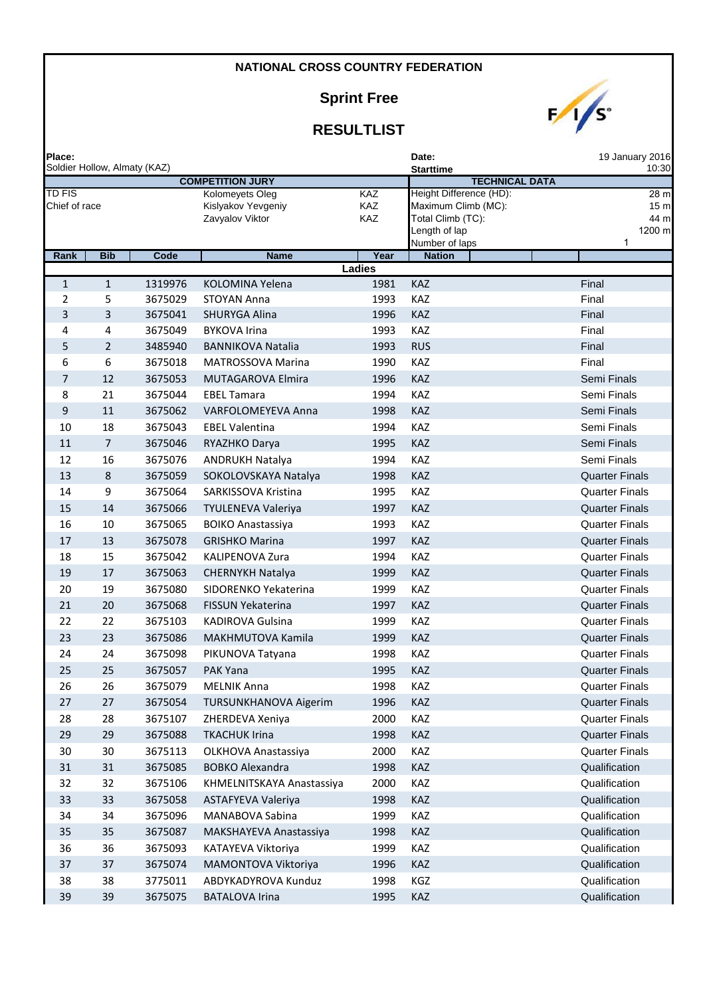# **Sprint Free**

| ₽ |  |
|---|--|
|   |  |

| Place:                  |                | Soldier Hollow, Almaty (KAZ) |                                                          |                          | Date:<br><b>Starttime</b>                                                                              | 19 January 2016<br>10:30                       |
|-------------------------|----------------|------------------------------|----------------------------------------------------------|--------------------------|--------------------------------------------------------------------------------------------------------|------------------------------------------------|
|                         |                |                              | <b>COMPETITION JURY</b>                                  |                          | <b>TECHNICAL DATA</b>                                                                                  |                                                |
| TD FIS<br>Chief of race |                |                              | Kolomeyets Oleg<br>Kislyakov Yevgeniy<br>Zavyalov Viktor | <b>KAZ</b><br>KAZ<br>KAZ | Height Difference (HD):<br>Maximum Climb (MC):<br>Total Climb (TC):<br>Length of lap<br>Number of laps | 28 m<br>15 <sub>m</sub><br>44 m<br>1200 m<br>1 |
| Rank                    | <b>Bib</b>     | Code                         | <b>Name</b>                                              | Year                     | <b>Nation</b>                                                                                          |                                                |
|                         |                |                              |                                                          | Ladies                   |                                                                                                        |                                                |
| $\mathbf{1}$<br>2       | $\mathbf{1}$   | 1319976                      | KOLOMINA Yelena<br><b>STOYAN Anna</b>                    | 1981                     | KAZ                                                                                                    | Final                                          |
| 3                       | 5<br>3         | 3675029<br>3675041           | SHURYGA Alina                                            | 1993<br>1996             | KAZ<br><b>KAZ</b>                                                                                      | Final<br>Final                                 |
| 4                       | 4              | 3675049                      | <b>BYKOVA Irina</b>                                      | 1993                     | KAZ                                                                                                    | Final                                          |
| 5                       | $\overline{2}$ | 3485940                      | <b>BANNIKOVA Natalia</b>                                 | 1993                     | <b>RUS</b>                                                                                             | Final                                          |
| 6                       | 6              | 3675018                      | MATROSSOVA Marina                                        | 1990                     | KAZ                                                                                                    | Final                                          |
| $\overline{7}$          | 12             | 3675053                      | MUTAGAROVA Elmira                                        | 1996                     | <b>KAZ</b>                                                                                             | Semi Finals                                    |
| 8                       | 21             | 3675044                      | <b>EBEL Tamara</b>                                       | 1994                     | KAZ                                                                                                    | Semi Finals                                    |
| 9                       | 11             | 3675062                      | VARFOLOMEYEVA Anna                                       | 1998                     | <b>KAZ</b>                                                                                             | Semi Finals                                    |
| 10                      | 18             | 3675043                      | <b>EBEL Valentina</b>                                    | 1994                     | KAZ                                                                                                    | Semi Finals                                    |
| 11                      | $\overline{7}$ | 3675046                      | RYAZHKO Darya                                            | 1995                     | <b>KAZ</b>                                                                                             | Semi Finals                                    |
| 12                      | 16             | 3675076                      | <b>ANDRUKH Natalya</b>                                   | 1994                     | KAZ                                                                                                    | Semi Finals                                    |
| 13                      | 8              | 3675059                      | SOKOLOVSKAYA Natalya                                     | 1998                     | <b>KAZ</b>                                                                                             | <b>Quarter Finals</b>                          |
| 14                      | 9              | 3675064                      | SARKISSOVA Kristina                                      | 1995                     | KAZ                                                                                                    | <b>Quarter Finals</b>                          |
| 15                      | 14             | 3675066                      | <b>TYULENEVA Valeriya</b>                                | 1997                     | <b>KAZ</b>                                                                                             | <b>Quarter Finals</b>                          |
| 16                      | 10             | 3675065                      | <b>BOIKO Anastassiya</b>                                 | 1993                     | KAZ                                                                                                    | <b>Quarter Finals</b>                          |
| 17                      | 13             | 3675078                      | <b>GRISHKO Marina</b>                                    | 1997                     | <b>KAZ</b>                                                                                             | <b>Quarter Finals</b>                          |
| 18                      | 15             | 3675042                      | <b>KALIPENOVA Zura</b>                                   | 1994                     | KAZ                                                                                                    | <b>Quarter Finals</b>                          |
| 19                      | 17             | 3675063                      | <b>CHERNYKH Natalya</b>                                  | 1999                     | <b>KAZ</b>                                                                                             | <b>Quarter Finals</b>                          |
| 20                      | 19             | 3675080                      | SIDORENKO Yekaterina                                     | 1999                     | KAZ                                                                                                    | <b>Quarter Finals</b>                          |
| 21                      | 20             | 3675068                      | <b>FISSUN Yekaterina</b>                                 | 1997                     | <b>KAZ</b>                                                                                             | <b>Quarter Finals</b>                          |
| 22                      | 22             | 3675103                      | KADIROVA Gulsina                                         | 1999                     | KAZ                                                                                                    | <b>Quarter Finals</b>                          |
| 23                      | 23             | 3675086                      | MAKHMUTOVA Kamila                                        | 1999                     | <b>KAZ</b>                                                                                             | <b>Quarter Finals</b>                          |
| 24                      | 24             | 3675098                      | PIKUNOVA Tatyana                                         | 1998                     | KAZ                                                                                                    | <b>Quarter Finals</b>                          |
| 25                      | 25             | 3675057                      | <b>PAK Yana</b>                                          | 1995                     | <b>KAZ</b>                                                                                             | <b>Quarter Finals</b>                          |
| 26                      | 26             | 3675079                      | <b>MELNIK Anna</b>                                       | 1998                     | KAZ                                                                                                    | <b>Quarter Finals</b>                          |
| 27                      | 27             | 3675054                      | TURSUNKHANOVA Aigerim                                    | 1996                     | KAZ                                                                                                    | <b>Quarter Finals</b>                          |
| 28                      | 28             | 3675107                      | ZHERDEVA Xeniya                                          | 2000                     | KAZ                                                                                                    | <b>Quarter Finals</b>                          |
| 29                      | 29             | 3675088                      | <b>TKACHUK Irina</b>                                     | 1998                     | KAZ                                                                                                    | <b>Quarter Finals</b>                          |
| 30                      | 30             | 3675113                      | OLKHOVA Anastassiya                                      | 2000                     | KAZ                                                                                                    | <b>Quarter Finals</b>                          |
| 31                      | 31             | 3675085                      | <b>BOBKO Alexandra</b>                                   | 1998                     | KAZ                                                                                                    | Qualification                                  |
| 32                      | 32             | 3675106                      | KHMELNITSKAYA Anastassiya                                | 2000                     | KAZ                                                                                                    | Qualification                                  |
| 33                      | 33             | 3675058                      | ASTAFYEVA Valeriya                                       | 1998                     | KAZ                                                                                                    | Qualification                                  |
| 34                      | 34             | 3675096                      | MANABOVA Sabina                                          | 1999                     | KAZ                                                                                                    | Qualification                                  |
| 35                      | 35             | 3675087                      | MAKSHAYEVA Anastassiya                                   | 1998                     | KAZ                                                                                                    | Qualification                                  |
| 36                      | 36             | 3675093                      | KATAYEVA Viktoriya                                       | 1999                     | KAZ                                                                                                    | Qualification                                  |
| 37                      | 37             | 3675074                      | MAMONTOVA Viktoriya                                      | 1996                     | KAZ                                                                                                    | Qualification                                  |
| 38                      | 38             | 3775011                      | ABDYKADYROVA Kunduz                                      | 1998                     | KGZ                                                                                                    | Qualification                                  |
| 39                      | 39             | 3675075                      | <b>BATALOVA Irina</b>                                    | 1995                     | KAZ                                                                                                    | Qualification                                  |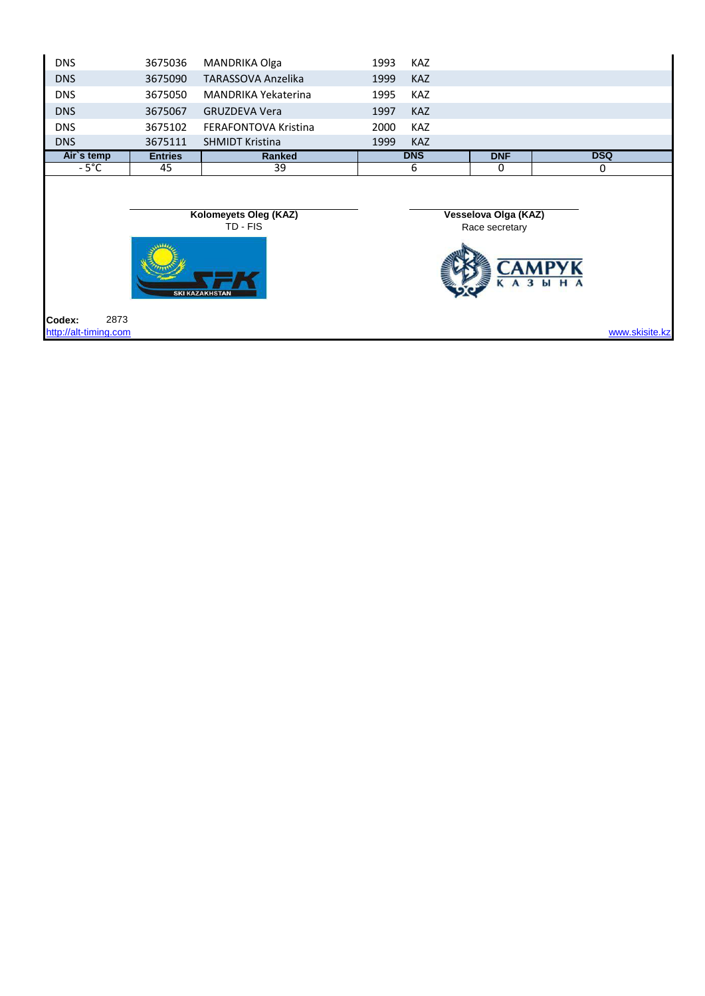| <b>DNS</b>            | 3675036        | MANDRIKA Olga                                              | 1993 | <b>KAZ</b> |                                        |          |                |
|-----------------------|----------------|------------------------------------------------------------|------|------------|----------------------------------------|----------|----------------|
| <b>DNS</b>            | 3675090        | <b>TARASSOVA Anzelika</b>                                  | 1999 | <b>KAZ</b> |                                        |          |                |
| <b>DNS</b>            | 3675050        | <b>MANDRIKA Yekaterina</b>                                 | 1995 | <b>KAZ</b> |                                        |          |                |
| <b>DNS</b>            | 3675067        | <b>GRUZDEVA Vera</b>                                       | 1997 | <b>KAZ</b> |                                        |          |                |
| <b>DNS</b>            | 3675102        | <b>FERAFONTOVA Kristina</b>                                | 2000 | <b>KAZ</b> |                                        |          |                |
| <b>DNS</b>            | 3675111        | <b>SHMIDT Kristina</b>                                     | 1999 | <b>KAZ</b> |                                        |          |                |
| Air's temp            | <b>Entries</b> | <b>Ranked</b>                                              |      | <b>DNS</b> | <b>DNF</b>                             |          | <b>DSQ</b>     |
| $-5^{\circ}$ C        | 45             | 39                                                         |      | 6          | 0                                      |          | 0              |
| 2873<br>Codex:        |                | Kolomeyets Oleg (KAZ)<br>TD - FIS<br><b>SKI KAZAKHSTAN</b> |      |            | Vesselova Olga (KAZ)<br>Race secretary | 3<br>ЫНА |                |
| http://alt-timing.com |                |                                                            |      |            |                                        |          | www.skisite.kz |
|                       |                |                                                            |      |            |                                        |          |                |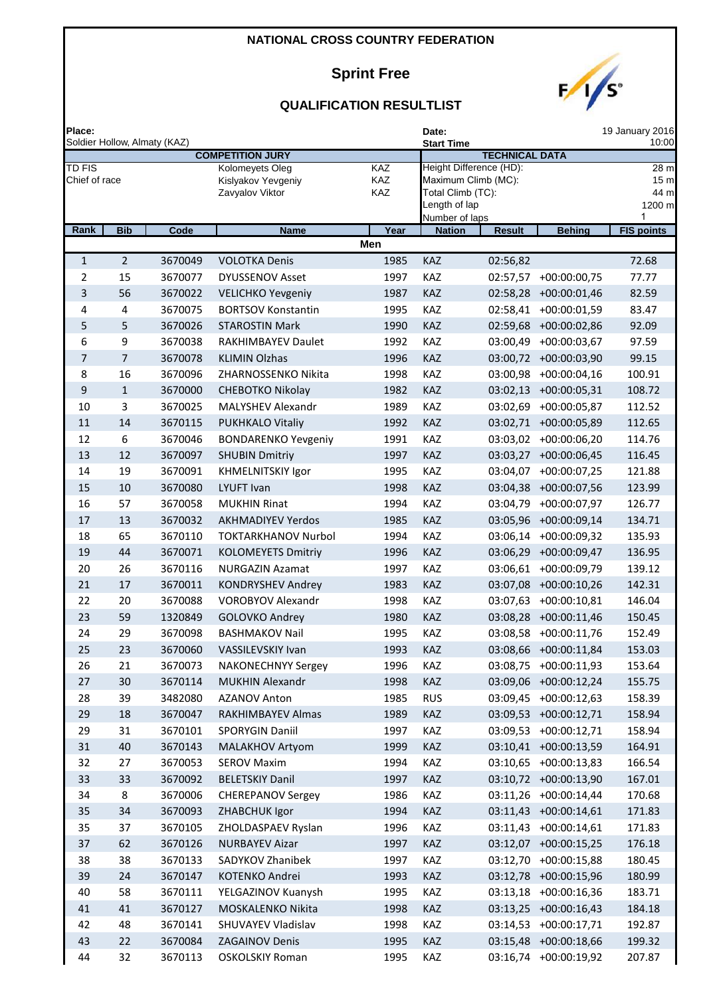# **Sprint Free**



| Place:                         |                              |                    |                                                          |                   | Date:                           |                                                                     |                                                | 19 January 2016                                |
|--------------------------------|------------------------------|--------------------|----------------------------------------------------------|-------------------|---------------------------------|---------------------------------------------------------------------|------------------------------------------------|------------------------------------------------|
|                                | Soldier Hollow, Almaty (KAZ) |                    | <b>COMPETITION JURY</b>                                  |                   | <b>Start Time</b>               | <b>TECHNICAL DATA</b>                                               |                                                | 10:00                                          |
| <b>TD FIS</b><br>Chief of race |                              |                    | Kolomeyets Oleg<br>Kislyakov Yevgeniy<br>Zavyalov Viktor | KAZ<br>KAZ<br>KAZ | Length of lap<br>Number of laps | Height Difference (HD):<br>Maximum Climb (MC):<br>Total Climb (TC): |                                                | 28 m<br>15 <sub>π</sub><br>44 m<br>1200 m<br>1 |
| Rank                           | <b>Bib</b>                   | Code               | <b>Name</b>                                              | Year              | <b>Nation</b>                   | <b>Result</b>                                                       | <b>Behing</b>                                  | <b>FIS points</b>                              |
|                                |                              |                    |                                                          | Men               |                                 |                                                                     |                                                |                                                |
| $\mathbf{1}$                   | $\overline{2}$               | 3670049            | <b>VOLOTKA Denis</b>                                     | 1985              | KAZ                             | 02:56,82                                                            |                                                | 72.68                                          |
| 2                              | 15                           | 3670077            | <b>DYUSSENOV Asset</b>                                   | 1997              | KAZ                             | 02:57,57                                                            | $+00:00:00,75$                                 | 77.77                                          |
| 3                              | 56                           | 3670022            | <b>VELICHKO Yevgeniy</b>                                 | 1987              | <b>KAZ</b>                      | 02:58,28                                                            | $+00:00:01,46$                                 | 82.59                                          |
| 4                              | 4                            | 3670075            | <b>BORTSOV Konstantin</b>                                | 1995              | KAZ                             | 02:58,41                                                            | +00:00:01,59                                   | 83.47                                          |
| 5                              | 5                            | 3670026            | <b>STAROSTIN Mark</b>                                    | 1990              | KAZ                             |                                                                     | 02:59,68 +00:00:02,86                          | 92.09                                          |
| 6                              | 9                            | 3670038            | RAKHIMBAYEV Daulet                                       | 1992              | KAZ                             | 03:00,49                                                            | $+00:00:03,67$                                 | 97.59                                          |
| $\overline{7}$                 | $\overline{7}$               | 3670078            | <b>KLIMIN Olzhas</b>                                     | 1996              | KAZ                             | 03:00,72                                                            | $+00:00:03,90$                                 | 99.15                                          |
| 8                              | 16                           | 3670096            | ZHARNOSSENKO Nikita                                      | 1998              | KAZ                             | 03:00,98                                                            | $+00:00:04,16$                                 | 100.91                                         |
| 9                              | $\mathbf{1}$                 | 3670000            | <b>CHEBOTKO Nikolay</b>                                  | 1982              | KAZ                             | 03:02,13                                                            | $+00:00:05,31$                                 | 108.72                                         |
| 10                             | 3                            | 3670025            | MALYSHEV Alexandr                                        | 1989              | KAZ                             | 03:02,69                                                            | +00:00:05,87                                   | 112.52                                         |
| 11                             | 14                           | 3670115            | PUKHKALO Vitaliy                                         | 1992              | KAZ                             | 03:02,71                                                            | +00:00:05,89                                   | 112.65                                         |
| 12                             | 6                            | 3670046            | <b>BONDARENKO Yevgeniy</b>                               | 1991              | KAZ                             |                                                                     | 03:03,02 +00:00:06,20                          | 114.76                                         |
| 13                             | 12                           | 3670097            | <b>SHUBIN Dmitriy</b>                                    | 1997              | KAZ                             | 03:03,27                                                            | $+00:00:06,45$                                 | 116.45                                         |
| 14                             | 19                           | 3670091            | KHMELNITSKIY Igor                                        | 1995              | KAZ                             | 03:04,07                                                            | $+00:00:07,25$                                 | 121.88                                         |
| 15                             | 10                           | 3670080            | <b>LYUFT Ivan</b>                                        | 1998              | KAZ                             | 03:04,38                                                            | $+00:00:07,56$                                 | 123.99                                         |
| 16                             | 57                           | 3670058            | <b>MUKHIN Rinat</b>                                      | 1994              | KAZ                             | 03:04,79                                                            | +00:00:07,97                                   | 126.77                                         |
| 17                             | 13                           | 3670032            | <b>AKHMADIYEV Yerdos</b>                                 | 1985              | KAZ                             | 03:05,96                                                            | $+00:00:09,14$                                 | 134.71                                         |
| 18                             | 65                           | 3670110            | <b>TOKTARKHANOV Nurbol</b>                               | 1994              | KAZ                             | 03:06,14                                                            | +00:00:09,32                                   | 135.93                                         |
| 19                             | 44                           | 3670071            | <b>KOLOMEYETS Dmitriy</b>                                | 1996              | KAZ                             | 03:06,29                                                            | $+00:00:09,47$                                 | 136.95                                         |
| 20                             | 26                           | 3670116            | <b>NURGAZIN Azamat</b>                                   | 1997              | KAZ                             | 03:06,61                                                            | +00:00:09,79                                   | 139.12                                         |
| 21                             | 17                           | 3670011            | <b>KONDRYSHEV Andrey</b>                                 | 1983              | KAZ                             | 03:07,08                                                            | $+00:00:10,26$                                 | 142.31                                         |
| 22                             | 20                           | 3670088            | VOROBYOV Alexandr                                        | 1998              | KAZ                             | 03:07,63                                                            | $+00:00:10,81$                                 | 146.04                                         |
| 23                             | 59                           | 1320849            | <b>GOLOVKO Andrey</b>                                    | 1980              | <b>KAZ</b>                      | 03:08,28                                                            | $+00:00:11,46$                                 | 150.45                                         |
| 24                             | 29                           | 3670098            | <b>BASHMAKOV Nail</b>                                    | 1995              | KAZ                             | 03:08,58                                                            | $+00:00:11,76$                                 | 152.49                                         |
| 25                             | 23                           | 3670060            | VASSILEVSKIY Ivan                                        | 1993              | KAZ                             |                                                                     | 03:08,66 +00:00:11,84                          | 153.03                                         |
| 26                             | 21                           | 3670073            | <b>NAKONECHNYY Sergey</b>                                | 1996              | KAZ                             |                                                                     | 03:08,75 +00:00:11,93                          | 153.64                                         |
| 27                             | 30                           | 3670114            | <b>MUKHIN Alexandr</b>                                   | 1998              | KAZ                             |                                                                     | 03:09,06 +00:00:12,24                          | 155.75                                         |
| 28                             | 39                           | 3482080            | <b>AZANOV Anton</b>                                      | 1985              | <b>RUS</b>                      | 03:09,45                                                            | $+00:00:12,63$                                 | 158.39                                         |
| 29                             | 18                           | 3670047            | RAKHIMBAYEV Almas                                        | 1989              | KAZ                             |                                                                     | 03:09,53 +00:00:12,71                          | 158.94                                         |
| 29                             | 31                           | 3670101            | SPORYGIN Daniil                                          | 1997              | KAZ                             |                                                                     | 03:09,53 +00:00:12,71                          | 158.94                                         |
| 31                             | 40                           | 3670143            | <b>MALAKHOV Artyom</b>                                   | 1999              | KAZ                             | 03:10,41                                                            | +00:00:13,59                                   | 164.91                                         |
| 32                             | 27                           | 3670053            | <b>SEROV Maxim</b>                                       | 1994              | KAZ                             | 03:10,65                                                            | $+00:00:13,83$                                 | 166.54                                         |
| 33                             | 33                           | 3670092            | <b>BELETSKIY Danil</b>                                   | 1997              | KAZ                             |                                                                     | 03:10,72 +00:00:13,90                          | 167.01                                         |
| 34                             | 8                            | 3670006            | <b>CHEREPANOV Sergey</b><br>ZHABCHUK Igor                | 1986              | KAZ                             |                                                                     | 03:11,26 +00:00:14,44                          | 170.68                                         |
| 35                             | 34                           | 3670093            |                                                          | 1994              | KAZ                             | 03:11,43                                                            | $+00:00:14,61$                                 | 171.83                                         |
| 35                             | 37                           | 3670105            | ZHOLDASPAEV Ryslan                                       | 1996<br>1997      | KAZ                             |                                                                     | 03:11,43 +00:00:14,61<br>03:12,07 +00:00:15,25 | 171.83                                         |
| 37<br>38                       | 62<br>38                     | 3670126<br>3670133 | <b>NURBAYEV Aizar</b><br>SADYKOV Zhanibek                | 1997              | KAZ<br>KAZ                      | 03:12,70                                                            | $+00:00:15,88$                                 | 176.18<br>180.45                               |
| 39                             | 24                           | 3670147            | KOTENKO Andrei                                           | 1993              | KAZ                             | 03:12,78                                                            | $+00:00:15,96$                                 | 180.99                                         |
| 40                             | 58                           | 3670111            |                                                          |                   | KAZ                             |                                                                     | 03:13,18 +00:00:16,36                          | 183.71                                         |
| 41                             | 41                           | 3670127            | YELGAZINOV Kuanysh<br>MOSKALENKO Nikita                  | 1995<br>1998      | KAZ                             |                                                                     | 03:13,25 +00:00:16,43                          | 184.18                                         |
| 42                             | 48                           | 3670141            | SHUVAYEV Vladislav                                       | 1998              | KAZ                             | 03:14,53                                                            | $+00:00:17,71$                                 | 192.87                                         |
| 43                             | 22                           | 3670084            | <b>ZAGAINOV Denis</b>                                    | 1995              | KAZ                             |                                                                     | 03:15,48 +00:00:18,66                          | 199.32                                         |
| 44                             | 32                           | 3670113            | <b>OSKOLSKIY Roman</b>                                   | 1995              | KAZ                             |                                                                     | 03:16,74 +00:00:19,92                          | 207.87                                         |
|                                |                              |                    |                                                          |                   |                                 |                                                                     |                                                |                                                |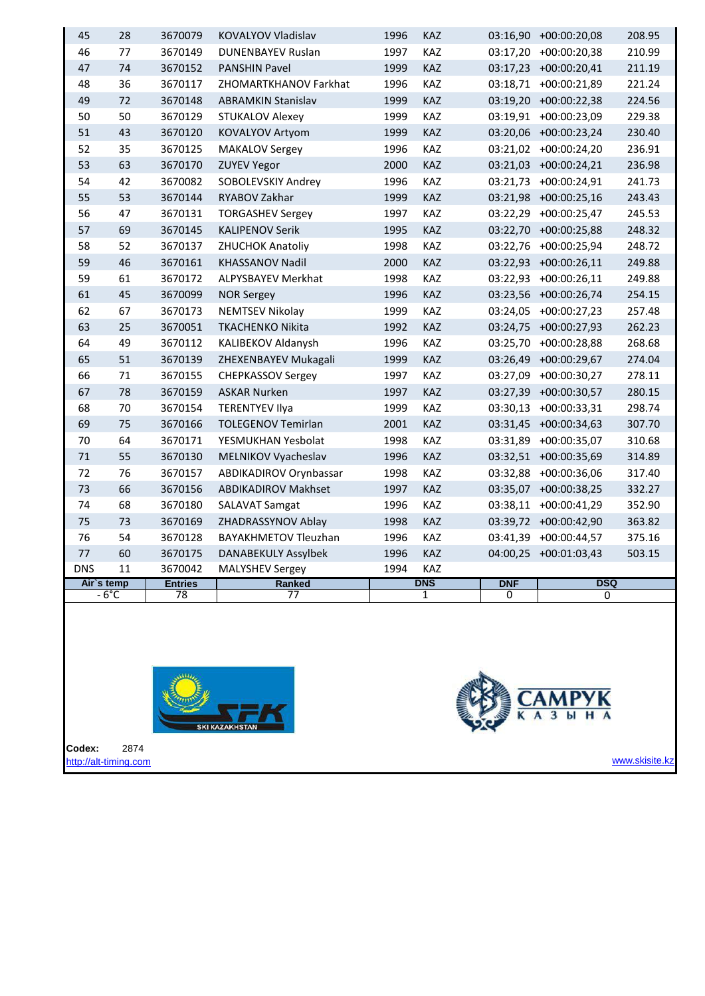|            | $-6^{\circ}$ C | $\overline{78}$ | 77                          |      | 1          | 0          | 0                     |        |
|------------|----------------|-----------------|-----------------------------|------|------------|------------|-----------------------|--------|
| Air's temp |                | <b>Entries</b>  | <b>Ranked</b>               |      | <b>DNS</b> | <b>DNF</b> | <b>DSQ</b>            |        |
| <b>DNS</b> | 11             | 3670042         | <b>MALYSHEV Sergey</b>      | 1994 | KAZ        |            |                       |        |
| $77$       | 60             | 3670175         | <b>DANABEKULY Assylbek</b>  | 1996 | KAZ        |            | 04:00,25 +00:01:03,43 | 503.15 |
| 76         | 54             | 3670128         | <b>BAYAKHMETOV Tleuzhan</b> | 1996 | KAZ        | 03:41,39   | $+00:00:44,57$        | 375.16 |
| 75         | 73             | 3670169         | ZHADRASSYNOV Ablay          | 1998 | KAZ        | 03:39,72   | $+00:00:42,90$        | 363.82 |
| 74         | 68             | 3670180         | <b>SALAVAT Samgat</b>       | 1996 | KAZ        | 03:38,11   | $+00:00:41,29$        | 352.90 |
| 73         | 66             | 3670156         | <b>ABDIKADIROV Makhset</b>  | 1997 | KAZ        | 03:35,07   | $+00:00:38.25$        | 332.27 |
| 72         | 76             | 3670157         | ABDIKADIROV Orynbassar      | 1998 | KAZ        | 03:32,88   | $+00:00:36,06$        | 317.40 |
| $71\,$     | 55             | 3670130         | MELNIKOV Vyacheslav         | 1996 | KAZ        | 03:32,51   | +00:00:35,69          | 314.89 |
| 70         | 64             | 3670171         | YESMUKHAN Yesbolat          | 1998 | KAZ        | 03:31,89   | $+00:00:35,07$        | 310.68 |
| 69         | 75             | 3670166         | <b>TOLEGENOV Temirlan</b>   | 2001 | KAZ        | 03:31,45   | $+00:00:34,63$        | 307.70 |
| 68         | 70             | 3670154         | <b>TERENTYEV Ilya</b>       | 1999 | KAZ        | 03:30,13   | $+00:00:33,31$        | 298.74 |
| 67         | 78             | 3670159         | <b>ASKAR Nurken</b>         | 1997 | KAZ        | 03:27,39   | +00:00:30,57          | 280.15 |
| 66         | 71             | 3670155         | <b>CHEPKASSOV Sergey</b>    | 1997 | KAZ        | 03:27,09   | $+00:00:30,27$        | 278.11 |
| 65         | 51             | 3670139         | ZHEXENBAYEV Mukagali        | 1999 | KAZ        | 03:26,49   | $+00:00:29.67$        | 274.04 |
| 64         | 49             | 3670112         | KALIBEKOV Aldanysh          | 1996 | KAZ        | 03:25,70   | +00:00:28,88          | 268.68 |
| 63         | 25             | 3670051         | <b>TKACHENKO Nikita</b>     | 1992 | KAZ        | 03:24,75   | $+00:00:27,93$        | 262.23 |
| 62         | 67             | 3670173         | <b>NEMTSEV Nikolay</b>      | 1999 | KAZ        | 03:24,05   | $+00:00:27,23$        | 257.48 |
| 61         | 45             | 3670099         | <b>NOR Sergey</b>           | 1996 | KAZ        | 03:23,56   | $+00:00:26,74$        | 254.15 |
| 59         | 61             | 3670172         | <b>ALPYSBAYEV Merkhat</b>   | 1998 | KAZ        | 03:22,93   | $+00:00:26,11$        | 249.88 |
| 59         | 46             | 3670161         | KHASSANOV Nadil             | 2000 | KAZ        | 03:22,93   | $+00:00:26,11$        | 249.88 |
| 58         | 52             | 3670137         | <b>ZHUCHOK Anatoliy</b>     | 1998 | KAZ        | 03:22,76   | $+00:00:25,94$        | 248.72 |
| 57         | 69             | 3670145         | <b>KALIPENOV Serik</b>      | 1995 | KAZ        |            | 03:22,70 +00:00:25,88 | 248.32 |
| 56         | 47             | 3670131         | <b>TORGASHEV Sergey</b>     | 1997 | KAZ        | 03:22,29   | $+00:00:25,47$        | 245.53 |
| 55         | 53             | 3670144         | RYABOV Zakhar               | 1999 | KAZ        |            | 03:21,98 +00:00:25,16 | 243.43 |
| 54         | 42             | 3670082         | SOBOLEVSKIY Andrey          | 1996 | KAZ        | 03:21,73   | +00:00:24,91          | 241.73 |
| 53         | 63             | 3670170         | <b>ZUYEV Yegor</b>          | 2000 | KAZ        |            | 03:21,03 +00:00:24,21 | 236.98 |
| 52         | 35             | 3670125         | <b>MAKALOV Sergey</b>       | 1996 | KAZ        |            | 03:21,02 +00:00:24,20 | 236.91 |
| 51         | 43             | 3670120         | <b>KOVALYOV Artyom</b>      | 1999 | KAZ        |            | 03:20,06 +00:00:23,24 | 230.40 |
| 50         | 50             | 3670129         | <b>STUKALOV Alexey</b>      | 1999 | KAZ        | 03:19,91   | +00:00:23,09          | 229.38 |
| 49         | 72             | 3670148         | <b>ABRAMKIN Stanislav</b>   | 1999 | KAZ        | 03:19,20   | +00:00:22,38          | 224.56 |
| 48         | 36             | 3670117         | ZHOMARTKHANOV Farkhat       | 1996 | KAZ        | 03:18,71   | $+00:00:21,89$        | 221.24 |
| 47         | 74             | 3670152         | <b>PANSHIN Pavel</b>        | 1999 | KAZ        |            | 03:17,23 +00:00:20,41 | 211.19 |
| 46         | 77             | 3670149         | <b>DUNENBAYEV Ruslan</b>    | 1997 | KAZ        | 03:17,20   | +00:00:20,38          | 210.99 |
| 45         | 28             | 3670079         | <b>KOVALYOV Vladislav</b>   | 1996 | KAZ        |            | 03:16,90 +00:00:20,08 | 208.95 |





**Codex:** 2874 [http://alt-timing.com](http://alt-timing.com/)

www.skisite.kz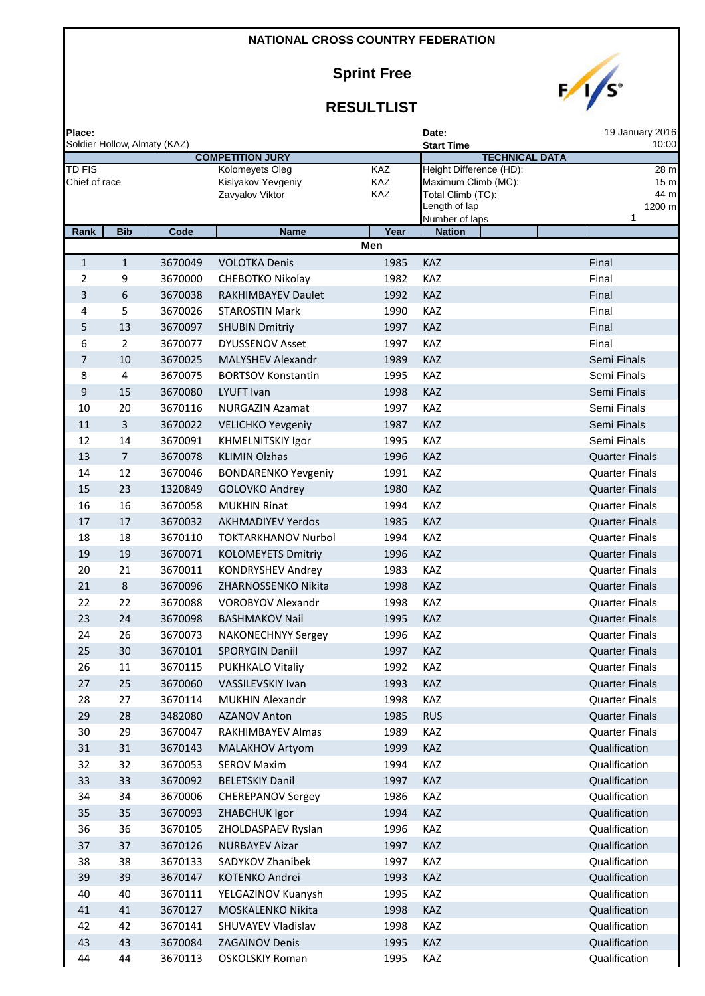**Sprint Free**



| Place:<br>Soldier Hollow, Almaty (KAZ) |                |         |                                       |            | 19 January 2016<br>Date:<br>10:00          |                         |  |  |
|----------------------------------------|----------------|---------|---------------------------------------|------------|--------------------------------------------|-------------------------|--|--|
|                                        |                |         | <b>COMPETITION JURY</b>               |            | <b>Start Time</b><br><b>TECHNICAL DATA</b> |                         |  |  |
| <b>TD FIS</b>                          |                |         | Kolomeyets Oleg                       | <b>KAZ</b> | Height Difference (HD):                    | 28 m                    |  |  |
| Chief of race                          |                |         | Kislyakov Yevgeniy<br>Zavyalov Viktor | KAZ<br>KAZ | Maximum Climb (MC):<br>Total Climb (TC):   | 15 <sub>m</sub><br>44 m |  |  |
|                                        |                |         |                                       |            | Length of lap                              | 1200 m                  |  |  |
|                                        |                |         |                                       |            | Number of laps                             | 1                       |  |  |
| Rank                                   | <b>Bib</b>     | Code    | <b>Name</b>                           | Year       | <b>Nation</b>                              |                         |  |  |
|                                        |                |         |                                       | Men        |                                            |                         |  |  |
| 1                                      | 1              | 3670049 | <b>VOLOTKA Denis</b>                  | 1985       | <b>KAZ</b>                                 | Final                   |  |  |
| $\overline{2}$                         | 9              | 3670000 | CHEBOTKO Nikolay                      | 1982       | <b>KAZ</b>                                 | Final                   |  |  |
| 3                                      | 6              | 3670038 | <b>RAKHIMBAYEV Daulet</b>             | 1992       | <b>KAZ</b>                                 | Final                   |  |  |
| 4                                      | 5              | 3670026 | <b>STAROSTIN Mark</b>                 | 1990       | KAZ                                        | Final                   |  |  |
| 5                                      | 13             | 3670097 | <b>SHUBIN Dmitriy</b>                 | 1997       | <b>KAZ</b>                                 | Final                   |  |  |
| 6                                      | $\overline{2}$ | 3670077 | <b>DYUSSENOV Asset</b>                | 1997       | KAZ                                        | Final                   |  |  |
| 7                                      | 10             | 3670025 | <b>MALYSHEV Alexandr</b>              | 1989       | <b>KAZ</b>                                 | Semi Finals             |  |  |
| 8                                      | 4              | 3670075 | <b>BORTSOV Konstantin</b>             | 1995       | KAZ                                        | Semi Finals             |  |  |
| $\boldsymbol{9}$                       | 15             | 3670080 | LYUFT Ivan                            | 1998       | <b>KAZ</b>                                 | Semi Finals             |  |  |
| 10                                     | 20             | 3670116 | <b>NURGAZIN Azamat</b>                | 1997       | KAZ                                        | Semi Finals             |  |  |
| 11                                     | 3              | 3670022 | <b>VELICHKO Yevgeniy</b>              | 1987       | <b>KAZ</b>                                 | Semi Finals             |  |  |
| 12                                     | 14             | 3670091 | KHMELNITSKIY Igor                     | 1995       | KAZ                                        | Semi Finals             |  |  |
| 13                                     | $\overline{7}$ | 3670078 | <b>KLIMIN Olzhas</b>                  | 1996       | KAZ                                        | <b>Quarter Finals</b>   |  |  |
| 14                                     | 12             | 3670046 | <b>BONDARENKO Yevgeniy</b>            | 1991       | KAZ                                        | <b>Quarter Finals</b>   |  |  |
| 15                                     | 23             | 1320849 | GOLOVKO Andrey                        | 1980       | <b>KAZ</b>                                 | <b>Quarter Finals</b>   |  |  |
| 16                                     | 16             | 3670058 | <b>MUKHIN Rinat</b>                   | 1994       | KAZ                                        | <b>Quarter Finals</b>   |  |  |
| 17                                     | 17             | 3670032 | <b>AKHMADIYEV Yerdos</b>              | 1985       | KAZ                                        | <b>Quarter Finals</b>   |  |  |
| 18                                     | 18             | 3670110 | <b>TOKTARKHANOV Nurbol</b>            | 1994       | KAZ                                        | <b>Quarter Finals</b>   |  |  |
| 19                                     | 19             | 3670071 | <b>KOLOMEYETS Dmitriy</b>             | 1996       | KAZ                                        | <b>Quarter Finals</b>   |  |  |
| 20                                     | 21             | 3670011 | <b>KONDRYSHEV Andrey</b>              | 1983       | KAZ                                        | <b>Quarter Finals</b>   |  |  |
| 21                                     | 8              | 3670096 | ZHARNOSSENKO Nikita                   | 1998       | KAZ                                        | <b>Quarter Finals</b>   |  |  |
| 22                                     | 22             | 3670088 | <b>VOROBYOV Alexandr</b>              | 1998       | <b>KAZ</b>                                 | <b>Quarter Finals</b>   |  |  |
| 23                                     | 24             | 3670098 | <b>BASHMAKOV Nail</b>                 | 1995       | <b>KAZ</b>                                 | <b>Quarter Finals</b>   |  |  |
| 24                                     | 26             | 3670073 | <b>NAKONECHNYY Sergey</b>             | 1996       | KAZ                                        | <b>Quarter Finals</b>   |  |  |
| 25                                     | 30             | 3670101 | <b>SPORYGIN Daniil</b>                | 1997       | <b>KAZ</b>                                 | <b>Quarter Finals</b>   |  |  |
| 26                                     | 11             | 3670115 | PUKHKALO Vitaliy                      | 1992       | KAZ                                        | <b>Quarter Finals</b>   |  |  |
| 27                                     | 25             | 3670060 | VASSILEVSKIY Ivan                     | 1993       | KAZ                                        | <b>Quarter Finals</b>   |  |  |
| 28                                     | 27             | 3670114 | <b>MUKHIN Alexandr</b>                | 1998       | KAZ                                        | <b>Quarter Finals</b>   |  |  |
| 29                                     | 28             | 3482080 | <b>AZANOV Anton</b>                   | 1985       | <b>RUS</b>                                 | <b>Quarter Finals</b>   |  |  |
| 30                                     | 29             | 3670047 | RAKHIMBAYEV Almas                     | 1989       | KAZ                                        | <b>Quarter Finals</b>   |  |  |
| 31                                     | 31             | 3670143 | MALAKHOV Artyom                       | 1999       | KAZ                                        | Qualification           |  |  |
| 32                                     | 32             | 3670053 | <b>SEROV Maxim</b>                    | 1994       | KAZ                                        | Qualification           |  |  |
| 33                                     | 33             | 3670092 | <b>BELETSKIY Danil</b>                | 1997       | KAZ                                        | Qualification           |  |  |
| 34                                     | 34             | 3670006 | <b>CHEREPANOV Sergey</b>              | 1986       | KAZ                                        | Qualification           |  |  |
| 35                                     | 35             | 3670093 | ZHABCHUK Igor                         | 1994       | KAZ                                        | Qualification           |  |  |
| 36                                     | 36             | 3670105 | ZHOLDASPAEV Ryslan                    | 1996       | KAZ                                        | Qualification           |  |  |
| 37                                     | 37             | 3670126 | <b>NURBAYEV Aizar</b>                 | 1997       | KAZ                                        | Qualification           |  |  |
| 38                                     | 38             | 3670133 | SADYKOV Zhanibek                      | 1997       | KAZ                                        | Qualification           |  |  |
| 39                                     | 39             | 3670147 | KOTENKO Andrei                        | 1993       | KAZ                                        | Qualification           |  |  |
| 40                                     | 40             | 3670111 | YELGAZINOV Kuanysh                    | 1995       | KAZ                                        | Qualification           |  |  |
| 41                                     | 41             | 3670127 | MOSKALENKO Nikita                     | 1998       | KAZ                                        | Qualification           |  |  |
| 42                                     | 42             | 3670141 | SHUVAYEV Vladislav                    | 1998       | KAZ                                        | Qualification           |  |  |
| 43                                     | 43             | 3670084 | <b>ZAGAINOV Denis</b>                 | 1995       | KAZ                                        | Qualification           |  |  |
| 44                                     | 44             | 3670113 | <b>OSKOLSKIY Roman</b>                | 1995       | KAZ                                        | Qualification           |  |  |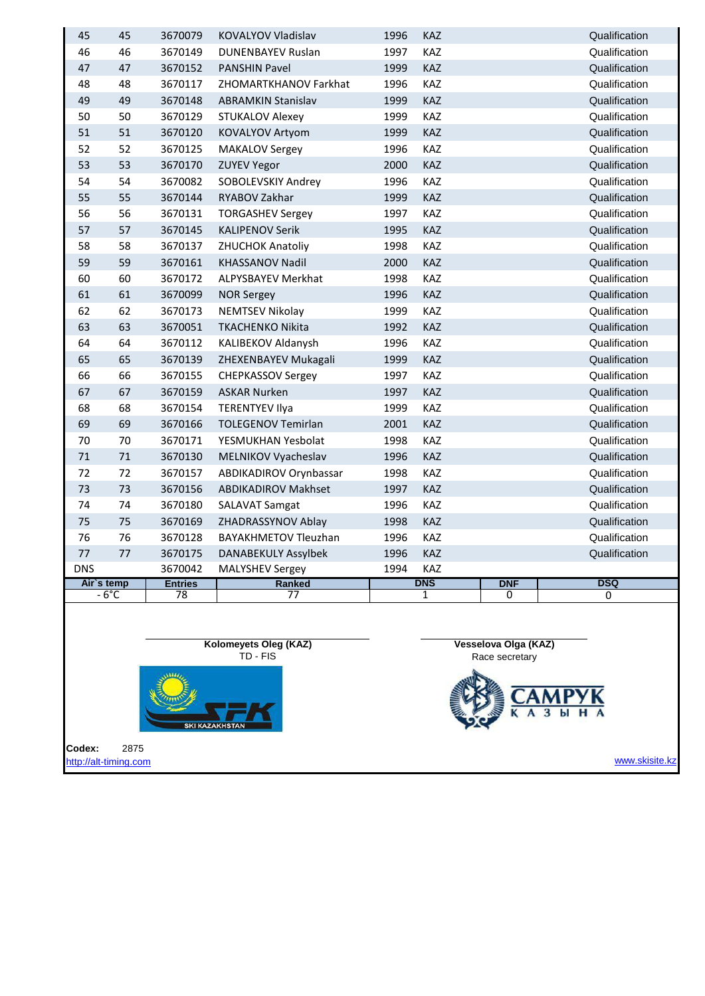|            |                |                    |                                                    |              |            | Race secretary       |                                |
|------------|----------------|--------------------|----------------------------------------------------|--------------|------------|----------------------|--------------------------------|
|            |                |                    | Kolomeyets Oleg (KAZ)<br>TD - FIS                  |              |            | Vesselova Olga (KAZ) |                                |
|            | $-6^{\circ}$ C | 78                 | $\overline{77}$                                    |              | 1          | 0                    | 0                              |
| Air's temp |                | <b>Entries</b>     | <b>Ranked</b>                                      |              | <b>DNS</b> | <b>DNF</b>           | <b>DSQ</b>                     |
| <b>DNS</b> |                | 3670042            | <b>MALYSHEV Sergey</b>                             | 1994         | <b>KAZ</b> |                      |                                |
| 77         | 77             | 3670175            | DANABEKULY Assylbek                                | 1996 KAZ     |            |                      | Qualification                  |
| 76         | 76             | 3670128            | <b>BAYAKHMETOV Tleuzhan</b>                        | 1996         | KAZ        |                      | Qualification                  |
| 75         | 75             | 3670169            | ZHADRASSYNOV Ablay                                 | 1998         | KAZ        |                      | Qualification                  |
| 74         | 74             | 3670180            | <b>SALAVAT Samgat</b>                              | 1996         | KAZ        |                      | Qualification                  |
| 73         | 73             | 3670156            | <b>ABDIKADIROV Makhset</b>                         | 1997         | KAZ        |                      | Qualification                  |
| 72         | 72             | 3670157            | ABDIKADIROV Orynbassar                             | 1998         | KAZ        |                      | Qualification                  |
| 71         | 71             | 3670130            | MELNIKOV Vyacheslav                                | 1996         | KAZ        |                      | Qualification                  |
| 70         | 70             | 3670171            | YESMUKHAN Yesbolat                                 | 1998         | KAZ        |                      | Qualification                  |
| 68<br>69   | 68<br>69       | 3670166            | <b>TERENTYEV Ilya</b><br><b>TOLEGENOV Temirlan</b> | 1999<br>2001 | KAZ        |                      | Qualification                  |
|            |                | 3670154            |                                                    |              | KAZ        |                      | Qualification                  |
| 67         | 67             | 3670159            | <b>ASKAR Nurken</b>                                | 1997         | KAZ        |                      | Qualification                  |
| 66         | 66             | 3670155            | <b>CHEPKASSOV Sergey</b>                           | 1997         | KAZ        |                      | Qualification                  |
| 65         | 65             | 3670139            | ZHEXENBAYEV Mukagali                               | 1999         | KAZ        |                      | Qualification                  |
| 64         | 64             | 3670112            | KALIBEKOV Aldanysh                                 | 1996         | KAZ        |                      | Qualification                  |
| 63         | 63             | 3670173<br>3670051 | <b>NEMTSEV Nikolay</b><br><b>TKACHENKO Nikita</b>  | 1999<br>1992 | KAZ        |                      | Qualification                  |
| 61<br>62   | 61<br>62       | 3670099            | <b>NOR Sergey</b>                                  | 1996         | KAZ<br>KAZ |                      | Qualification<br>Qualification |
| 60         | 60             | 3670172            | ALPYSBAYEV Merkhat                                 | 1998         | KAZ        |                      | Qualification                  |
| 59         | 59             | 3670161            | <b>KHASSANOV Nadil</b>                             | 2000         | KAZ        |                      | Qualification                  |
| 58         | 58             | 3670137            | <b>ZHUCHOK Anatoliy</b>                            | 1998         | KAZ        |                      | Qualification                  |
| 57         | 57             | 3670145            | <b>KALIPENOV Serik</b>                             | 1995         | KAZ        |                      | Qualification                  |
| 56         | 56             | 3670131            | <b>TORGASHEV Sergey</b>                            | 1997         | KAZ        |                      | Qualification                  |
| 55         | 55             | 3670144            | RYABOV Zakhar                                      | 1999         | KAZ        |                      | Qualification                  |
| 54         | 54             | 3670082            | SOBOLEVSKIY Andrey                                 | 1996         | KAZ        |                      | Qualification                  |
| 53         | 53             | 3670170            | <b>ZUYEV Yegor</b>                                 | 2000         | KAZ        |                      | Qualification                  |
| 52         | 52             | 3670125            | <b>MAKALOV Sergey</b>                              | 1996         | KAZ        |                      | Qualification                  |
| 51         | 51             | 3670120            | KOVALYOV Artyom                                    | 1999         | KAZ        |                      | Qualification                  |
| 50         | 50             | 3670129            | <b>STUKALOV Alexey</b>                             | 1999         | KAZ        |                      | Qualification                  |
| 49         | 49             | 3670148            | <b>ABRAMKIN Stanislav</b>                          | 1999         | KAZ        |                      | Qualification                  |
| 48         | 48             | 3670117            | ZHOMARTKHANOV Farkhat                              | 1996         | KAZ        |                      | Qualification                  |
| 47         | 47             | 3670152            | <b>PANSHIN Pavel</b>                               | 1999         | KAZ        |                      | Qualification                  |
| 46         | 46             | 3670149            | <b>DUNENBAYEV Ruslan</b>                           | 1997         | <b>KAZ</b> |                      | Qualification                  |
| 45         | 45             | 3670079            | KOVALYOV Vladislav                                 | 1996         | <b>KAZ</b> |                      | Qualification                  |

**Codex:** 2875 [http://alt-timing.com](http://alt-timing.com/)

W SKI KAZAKHSTAN

www.skisite.kz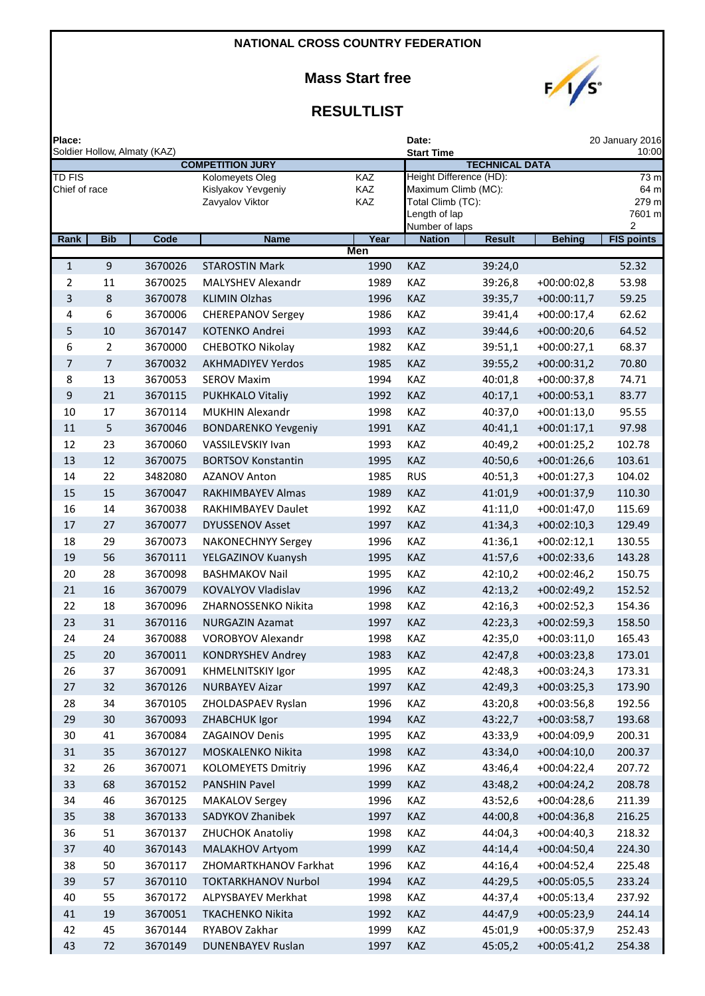**Mass Start free**



| Place:<br>Soldier Hollow, Almaty (KAZ) |                |         |                                       |                   | 20 January 2016<br>Date:<br>10:00  |                       |               |                   |  |
|----------------------------------------|----------------|---------|---------------------------------------|-------------------|------------------------------------|-----------------------|---------------|-------------------|--|
|                                        |                |         | <b>COMPETITION JURY</b>               |                   | <b>Start Time</b>                  | <b>TECHNICAL DATA</b> |               |                   |  |
| <b>TD FIS</b>                          |                |         | Kolomeyets Oleg                       | <b>KAZ</b>        | Height Difference (HD):            |                       |               | 73 <sub>m</sub>   |  |
| Chief of race                          |                |         | Kislyakov Yevgeniy<br>Zavyalov Viktor | <b>KAZ</b><br>KAZ | Maximum Climb (MC):                |                       |               | 64 m              |  |
|                                        |                |         |                                       |                   | Total Climb (TC):<br>Length of lap |                       |               | 279 m<br>7601 m   |  |
|                                        |                |         |                                       |                   | Number of laps                     |                       |               | 2                 |  |
| Rank                                   | <b>Bib</b>     | Code    | <b>Name</b>                           | Year<br>Men       | <b>Nation</b>                      | <b>Result</b>         | <b>Behing</b> | <b>FIS points</b> |  |
| $\mathbf{1}$                           | 9              | 3670026 | <b>STAROSTIN Mark</b>                 | 1990              | KAZ                                | 39:24,0               |               | 52.32             |  |
| 2                                      | 11             | 3670025 | MALYSHEV Alexandr                     | 1989              | KAZ                                | 39:26,8               | $+00:00:02,8$ | 53.98             |  |
| 3                                      | 8              | 3670078 | <b>KLIMIN Olzhas</b>                  | 1996              | <b>KAZ</b>                         | 39:35,7               | $+00:00:11,7$ | 59.25             |  |
| 4                                      | 6              | 3670006 | <b>CHEREPANOV Sergey</b>              | 1986              | <b>KAZ</b>                         | 39:41,4               | $+00:00:17,4$ | 62.62             |  |
| 5                                      | 10             | 3670147 | <b>KOTENKO Andrei</b>                 | 1993              | <b>KAZ</b>                         | 39:44,6               | $+00:00:20,6$ | 64.52             |  |
| 6                                      | 2              | 3670000 | CHEBOTKO Nikolay                      | 1982              | <b>KAZ</b>                         | 39:51,1               | $+00:00:27,1$ | 68.37             |  |
| 7                                      | $\overline{7}$ | 3670032 | <b>AKHMADIYEV Yerdos</b>              | 1985              | <b>KAZ</b>                         | 39:55,2               | $+00:00:31,2$ | 70.80             |  |
| 8                                      | 13             | 3670053 | <b>SEROV Maxim</b>                    | 1994              | KAZ                                | 40:01,8               | $+00:00:37,8$ | 74.71             |  |
| 9                                      | 21             | 3670115 | <b>PUKHKALO Vitaliy</b>               | 1992              | KAZ                                | 40:17,1               | $+00:00:53,1$ | 83.77             |  |
| 10                                     | 17             | 3670114 | <b>MUKHIN Alexandr</b>                | 1998              | KAZ                                | 40:37,0               | $+00:01:13,0$ | 95.55             |  |
| 11                                     | 5              | 3670046 | <b>BONDARENKO Yevgeniy</b>            | 1991              | <b>KAZ</b>                         | 40:41,1               | $+00:01:17,1$ | 97.98             |  |
| 12                                     | 23             | 3670060 | <b>VASSILEVSKIY Ivan</b>              | 1993              | <b>KAZ</b>                         | 40:49,2               | $+00:01:25,2$ | 102.78            |  |
| 13                                     | 12             | 3670075 | <b>BORTSOV Konstantin</b>             | 1995              | KAZ                                | 40:50,6               | $+00:01:26,6$ | 103.61            |  |
| 14                                     | 22             | 3482080 | <b>AZANOV Anton</b>                   | 1985              | <b>RUS</b>                         | 40:51,3               | $+00:01:27,3$ | 104.02            |  |
| 15                                     | 15             | 3670047 | RAKHIMBAYEV Almas                     | 1989              | <b>KAZ</b>                         | 41:01,9               | $+00:01:37,9$ | 110.30            |  |
| 16                                     | 14             | 3670038 | RAKHIMBAYEV Daulet                    | 1992              | <b>KAZ</b>                         | 41:11,0               | $+00:01:47,0$ | 115.69            |  |
| 17                                     | 27             | 3670077 | <b>DYUSSENOV Asset</b>                | 1997              | <b>KAZ</b>                         | 41:34,3               | $+00:02:10,3$ | 129.49            |  |
| 18                                     | 29             | 3670073 | <b>NAKONECHNYY Sergey</b>             | 1996              | <b>KAZ</b>                         | 41:36,1               | $+00:02:12,1$ | 130.55            |  |
| 19                                     | 56             | 3670111 | YELGAZINOV Kuanysh                    | 1995              | <b>KAZ</b>                         | 41:57,6               | $+00:02:33,6$ | 143.28            |  |
| 20                                     | 28             | 3670098 | <b>BASHMAKOV Nail</b>                 | 1995              | <b>KAZ</b>                         | 42:10,2               | $+00:02:46,2$ | 150.75            |  |
| 21                                     | 16             | 3670079 | KOVALYOV Vladislav                    | 1996              | <b>KAZ</b>                         | 42:13,2               | $+00:02:49,2$ | 152.52            |  |
| 22                                     | 18             | 3670096 | ZHARNOSSENKO Nikita                   | 1998              | <b>KAZ</b>                         | 42:16,3               | $+00:02:52,3$ | 154.36            |  |
| 23                                     | 31             | 3670116 | <b>NURGAZIN Azamat</b>                | 1997              | KAZ                                | 42:23,3               | $+00:02:59,3$ | 158.50            |  |
| 24                                     | 24             | 3670088 | <b>VOROBYOV Alexandr</b>              | 1998              | <b>KAZ</b>                         | 42:35,0               | $+00:03:11,0$ | 165.43            |  |
| 25                                     | 20             | 3670011 | <b>KONDRYSHEV Andrey</b>              | 1983              | KAZ                                | 42:47,8               | $+00:03:23,8$ | 173.01            |  |
| 26                                     | 37             | 3670091 | <b>KHMELNITSKIY Igor</b>              | 1995              | KAZ                                | 42:48,3               | $+00:03:24,3$ | 173.31            |  |
| 27                                     | 32             | 3670126 | <b>NURBAYEV Aizar</b>                 | 1997              | KAZ                                | 42:49,3               | $+00:03:25,3$ | 173.90            |  |
| 28                                     | 34             | 3670105 | ZHOLDASPAEV Ryslan                    | 1996              | KAZ                                | 43:20,8               | $+00:03:56,8$ | 192.56            |  |
| 29                                     | 30             | 3670093 | ZHABCHUK Igor                         | 1994              | KAZ                                | 43:22,7               | $+00:03:58,7$ | 193.68            |  |
| 30                                     | 41             | 3670084 | <b>ZAGAINOV Denis</b>                 | 1995              | KAZ                                | 43:33,9               | +00:04:09,9   | 200.31            |  |
| 31                                     | 35             | 3670127 | MOSKALENKO Nikita                     | 1998              | KAZ                                | 43:34,0               | $+00:04:10,0$ | 200.37            |  |
| 32                                     | 26             | 3670071 | <b>KOLOMEYETS Dmitriy</b>             | 1996              | KAZ                                | 43:46,4               | $+00:04:22,4$ | 207.72            |  |
| 33                                     | 68             | 3670152 | <b>PANSHIN Pavel</b>                  | 1999              | KAZ                                | 43:48,2               | $+00:04:24,2$ | 208.78            |  |
| 34                                     | 46             | 3670125 | <b>MAKALOV Sergey</b>                 | 1996              | KAZ                                | 43:52,6               | $+00:04:28,6$ | 211.39            |  |
| 35                                     | 38             | 3670133 | SADYKOV Zhanibek                      | 1997              | KAZ                                | 44:00,8               | $+00:04:36,8$ | 216.25            |  |
| 36                                     | 51             | 3670137 | ZHUCHOK Anatoliy                      | 1998              | KAZ                                | 44:04,3               | $+00:04:40,3$ | 218.32            |  |
| 37                                     | 40             | 3670143 | MALAKHOV Artyom                       | 1999              | <b>KAZ</b>                         | 44:14,4               | $+00:04:50,4$ | 224.30            |  |
| 38                                     | 50             | 3670117 | ZHOMARTKHANOV Farkhat                 | 1996              | KAZ                                | 44:16,4               | $+00:04:52,4$ | 225.48            |  |
| 39                                     | 57             | 3670110 | <b>TOKTARKHANOV Nurbol</b>            | 1994              | KAZ                                | 44:29,5               | $+00:05:05,5$ | 233.24            |  |
| 40                                     | 55             | 3670172 | ALPYSBAYEV Merkhat                    | 1998              | KAZ                                | 44:37,4               | $+00:05:13,4$ | 237.92            |  |
| 41                                     | 19             | 3670051 | <b>TKACHENKO Nikita</b>               | 1992              | KAZ                                | 44:47,9               | $+00:05:23,9$ | 244.14            |  |
| 42                                     | 45             | 3670144 | RYABOV Zakhar                         | 1999              | KAZ                                | 45:01,9               | $+00:05:37,9$ | 252.43            |  |
| 43                                     | 72             | 3670149 | <b>DUNENBAYEV Ruslan</b>              | 1997              | KAZ                                | 45:05,2               | $+00:05:41,2$ | 254.38            |  |
|                                        |                |         |                                       |                   |                                    |                       |               |                   |  |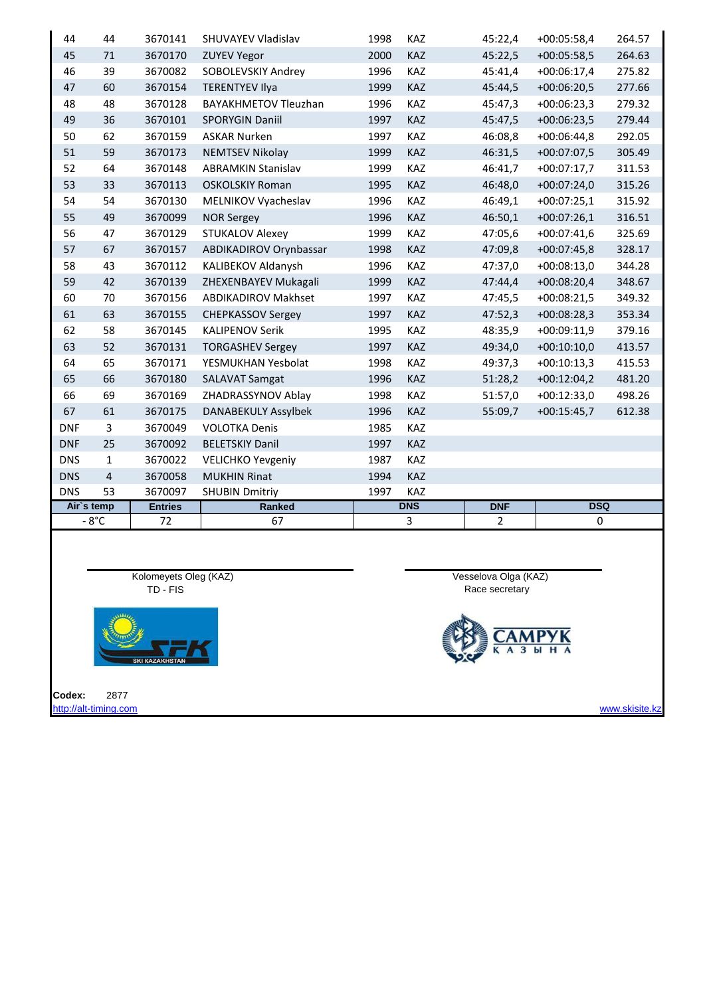| 44         | 44             | 3670141        | <b>SHUVAYEV Vladislav</b>   | 1998 | KAZ        | 45:22,4        | $+00:05:58,4$ | 264.57 |
|------------|----------------|----------------|-----------------------------|------|------------|----------------|---------------|--------|
| 45         | 71             | 3670170        | <b>ZUYEV Yegor</b>          | 2000 | <b>KAZ</b> | 45:22,5        | $+00:05:58,5$ | 264.63 |
| 46         | 39             | 3670082        | SOBOLEVSKIY Andrey          | 1996 | KAZ        | 45:41,4        | $+00:06:17,4$ | 275.82 |
| 47         | 60             | 3670154        | <b>TERENTYEV Ilya</b>       | 1999 | <b>KAZ</b> | 45:44,5        | $+00:06:20,5$ | 277.66 |
| 48         | 48             | 3670128        | <b>BAYAKHMETOV Tleuzhan</b> | 1996 | KAZ        | 45:47,3        | $+00:06:23,3$ | 279.32 |
| 49         | 36             | 3670101        | <b>SPORYGIN Daniil</b>      | 1997 | KAZ        | 45:47,5        | $+00:06:23,5$ | 279.44 |
| 50         | 62             | 3670159        | <b>ASKAR Nurken</b>         | 1997 | KAZ        | 46:08,8        | $+00:06:44,8$ | 292.05 |
| 51         | 59             | 3670173        | <b>NEMTSEV Nikolay</b>      | 1999 | KAZ        | 46:31,5        | $+00:07:07,5$ | 305.49 |
| 52         | 64             | 3670148        | <b>ABRAMKIN Stanislav</b>   | 1999 | KAZ        | 46:41,7        | $+00:07:17,7$ | 311.53 |
| 53         | 33             | 3670113        | <b>OSKOLSKIY Roman</b>      | 1995 | KAZ        | 46:48,0        | $+00:07:24,0$ | 315.26 |
| 54         | 54             | 3670130        | MELNIKOV Vyacheslav         | 1996 | KAZ        | 46:49,1        | $+00:07:25,1$ | 315.92 |
| 55         | 49             | 3670099        | <b>NOR Sergey</b>           | 1996 | <b>KAZ</b> | 46:50,1        | $+00:07:26,1$ | 316.51 |
| 56         | 47             | 3670129        | <b>STUKALOV Alexey</b>      | 1999 | KAZ        | 47:05,6        | $+00:07:41,6$ | 325.69 |
| 57         | 67             | 3670157        | ABDIKADIROV Orynbassar      | 1998 | <b>KAZ</b> | 47:09,8        | $+00:07:45,8$ | 328.17 |
| 58         | 43             | 3670112        | KALIBEKOV Aldanysh          | 1996 | KAZ        | 47:37,0        | $+00:08:13,0$ | 344.28 |
| 59         | 42             | 3670139        | ZHEXENBAYEV Mukagali        | 1999 | KAZ        | 47:44,4        | $+00:08:20,4$ | 348.67 |
| 60         | 70             | 3670156        | <b>ABDIKADIROV Makhset</b>  | 1997 | KAZ        | 47:45,5        | $+00:08:21,5$ | 349.32 |
| 61         | 63             | 3670155        | <b>CHEPKASSOV Sergey</b>    | 1997 | KAZ        | 47:52,3        | $+00:08:28,3$ | 353.34 |
| 62         | 58             | 3670145        | <b>KALIPENOV Serik</b>      | 1995 | KAZ        | 48:35,9        | $+00:09:11,9$ | 379.16 |
| 63         | 52             | 3670131        | <b>TORGASHEV Sergey</b>     | 1997 | <b>KAZ</b> | 49:34,0        | $+00:10:10,0$ | 413.57 |
| 64         | 65             | 3670171        | YESMUKHAN Yesbolat          | 1998 | KAZ        | 49:37,3        | $+00:10:13,3$ | 415.53 |
| 65         | 66             | 3670180        | <b>SALAVAT Samgat</b>       | 1996 | KAZ        | 51:28,2        | $+00:12:04,2$ | 481.20 |
| 66         | 69             | 3670169        | ZHADRASSYNOV Ablay          | 1998 | KAZ        | 51:57,0        | $+00:12:33,0$ | 498.26 |
| 67         | 61             | 3670175        | <b>DANABEKULY Assylbek</b>  | 1996 | <b>KAZ</b> | 55:09,7        | $+00:15:45,7$ | 612.38 |
| <b>DNF</b> | 3              | 3670049        | <b>VOLOTKA Denis</b>        | 1985 | KAZ        |                |               |        |
| <b>DNF</b> | 25             | 3670092        | <b>BELETSKIY Danil</b>      | 1997 | <b>KAZ</b> |                |               |        |
| <b>DNS</b> | $\mathbf{1}$   | 3670022        | <b>VELICHKO Yevgeniy</b>    | 1987 | KAZ        |                |               |        |
| <b>DNS</b> | $\overline{4}$ | 3670058        | <b>MUKHIN Rinat</b>         | 1994 | <b>KAZ</b> |                |               |        |
| <b>DNS</b> | 53             | 3670097        | <b>SHUBIN Dmitriy</b>       | 1997 | KAZ        |                |               |        |
| Air's temp |                | <b>Entries</b> | Ranked                      |      | <b>DNS</b> | <b>DNF</b>     | <b>DSQ</b>    |        |
|            | $-8^{\circ}$ C | 72             | 67                          |      | 3          | $\overline{2}$ | 0             |        |





**Codex:** 2877



[http://alt-timing.com](http://alt-timing.com/) www.skisite.ka